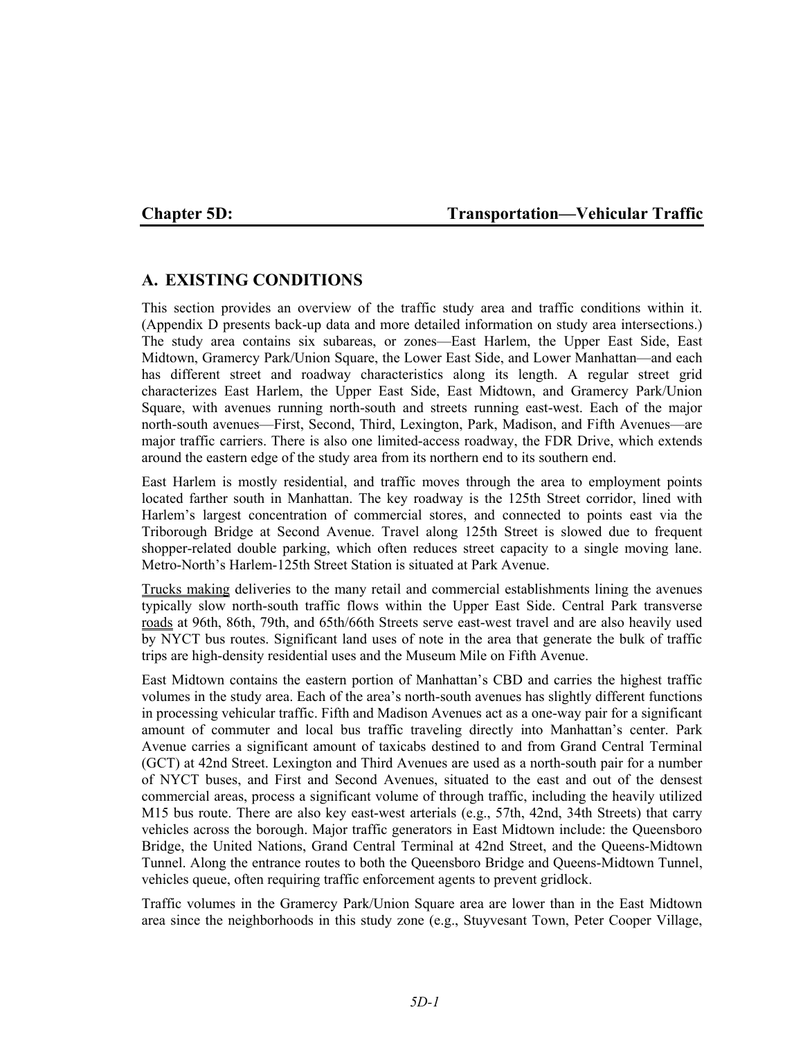# **Chapter 5D: Transportation—Vehicular Traffic**

# **A. EXISTING CONDITIONS**

This section provides an overview of the traffic study area and traffic conditions within it. (Appendix D presents back-up data and more detailed information on study area intersections.) The study area contains six subareas, or zones—East Harlem, the Upper East Side, East Midtown, Gramercy Park/Union Square, the Lower East Side, and Lower Manhattan—and each has different street and roadway characteristics along its length. A regular street grid characterizes East Harlem, the Upper East Side, East Midtown, and Gramercy Park/Union Square, with avenues running north-south and streets running east-west. Each of the major north-south avenues—First, Second, Third, Lexington, Park, Madison, and Fifth Avenues—are major traffic carriers. There is also one limited-access roadway, the FDR Drive, which extends around the eastern edge of the study area from its northern end to its southern end.

East Harlem is mostly residential, and traffic moves through the area to employment points located farther south in Manhattan. The key roadway is the 125th Street corridor, lined with Harlem's largest concentration of commercial stores, and connected to points east via the Triborough Bridge at Second Avenue. Travel along 125th Street is slowed due to frequent shopper-related double parking, which often reduces street capacity to a single moving lane. Metro-North's Harlem-125th Street Station is situated at Park Avenue.

Trucks making deliveries to the many retail and commercial establishments lining the avenues typically slow north-south traffic flows within the Upper East Side. Central Park transverse roads at 96th, 86th, 79th, and 65th/66th Streets serve east-west travel and are also heavily used by NYCT bus routes. Significant land uses of note in the area that generate the bulk of traffic trips are high-density residential uses and the Museum Mile on Fifth Avenue.

East Midtown contains the eastern portion of Manhattan's CBD and carries the highest traffic volumes in the study area. Each of the area's north-south avenues has slightly different functions in processing vehicular traffic. Fifth and Madison Avenues act as a one-way pair for a significant amount of commuter and local bus traffic traveling directly into Manhattan's center. Park Avenue carries a significant amount of taxicabs destined to and from Grand Central Terminal (GCT) at 42nd Street. Lexington and Third Avenues are used as a north-south pair for a number of NYCT buses, and First and Second Avenues, situated to the east and out of the densest commercial areas, process a significant volume of through traffic, including the heavily utilized M15 bus route. There are also key east-west arterials (e.g., 57th, 42nd, 34th Streets) that carry vehicles across the borough. Major traffic generators in East Midtown include: the Queensboro Bridge, the United Nations, Grand Central Terminal at 42nd Street, and the Queens-Midtown Tunnel. Along the entrance routes to both the Queensboro Bridge and Queens-Midtown Tunnel, vehicles queue, often requiring traffic enforcement agents to prevent gridlock.

Traffic volumes in the Gramercy Park/Union Square area are lower than in the East Midtown area since the neighborhoods in this study zone (e.g., Stuyvesant Town, Peter Cooper Village,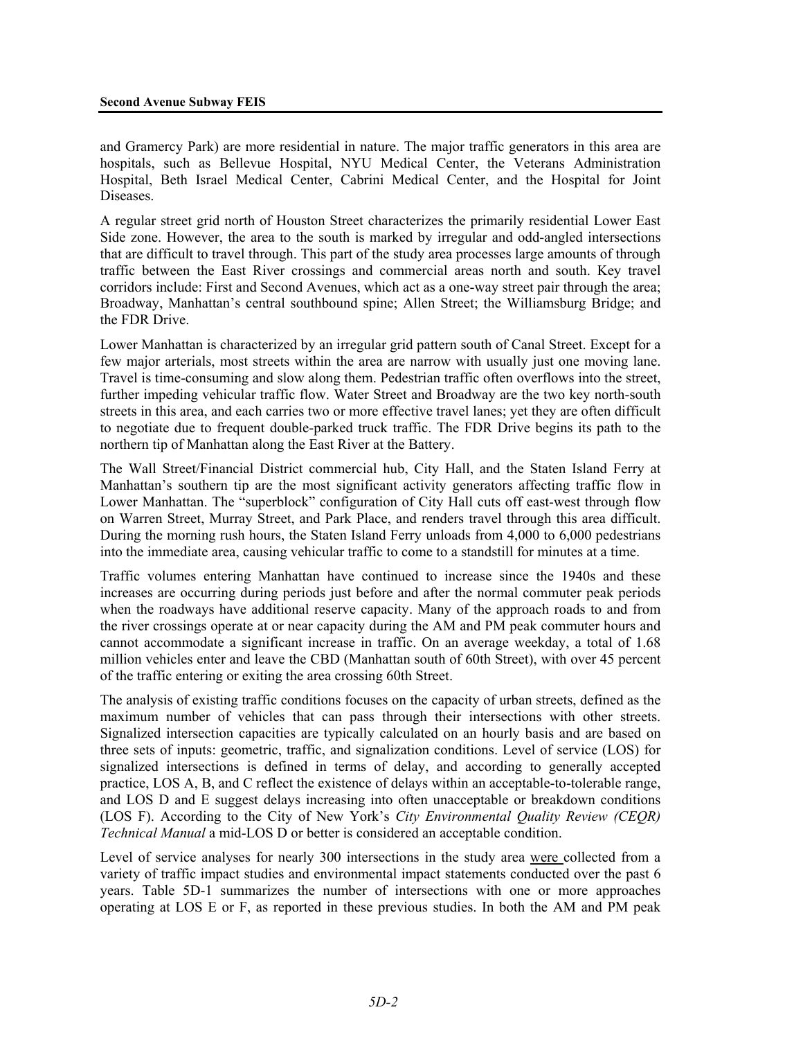and Gramercy Park) are more residential in nature. The major traffic generators in this area are hospitals, such as Bellevue Hospital, NYU Medical Center, the Veterans Administration Hospital, Beth Israel Medical Center, Cabrini Medical Center, and the Hospital for Joint Diseases.

A regular street grid north of Houston Street characterizes the primarily residential Lower East Side zone. However, the area to the south is marked by irregular and odd-angled intersections that are difficult to travel through. This part of the study area processes large amounts of through traffic between the East River crossings and commercial areas north and south. Key travel corridors include: First and Second Avenues, which act as a one-way street pair through the area; Broadway, Manhattan's central southbound spine; Allen Street; the Williamsburg Bridge; and the FDR Drive.

Lower Manhattan is characterized by an irregular grid pattern south of Canal Street. Except for a few major arterials, most streets within the area are narrow with usually just one moving lane. Travel is time-consuming and slow along them. Pedestrian traffic often overflows into the street, further impeding vehicular traffic flow. Water Street and Broadway are the two key north-south streets in this area, and each carries two or more effective travel lanes; yet they are often difficult to negotiate due to frequent double-parked truck traffic. The FDR Drive begins its path to the northern tip of Manhattan along the East River at the Battery.

The Wall Street/Financial District commercial hub, City Hall, and the Staten Island Ferry at Manhattan's southern tip are the most significant activity generators affecting traffic flow in Lower Manhattan. The "superblock" configuration of City Hall cuts off east-west through flow on Warren Street, Murray Street, and Park Place, and renders travel through this area difficult. During the morning rush hours, the Staten Island Ferry unloads from 4,000 to 6,000 pedestrians into the immediate area, causing vehicular traffic to come to a standstill for minutes at a time.

Traffic volumes entering Manhattan have continued to increase since the 1940s and these increases are occurring during periods just before and after the normal commuter peak periods when the roadways have additional reserve capacity. Many of the approach roads to and from the river crossings operate at or near capacity during the AM and PM peak commuter hours and cannot accommodate a significant increase in traffic. On an average weekday, a total of 1.68 million vehicles enter and leave the CBD (Manhattan south of 60th Street), with over 45 percent of the traffic entering or exiting the area crossing 60th Street.

The analysis of existing traffic conditions focuses on the capacity of urban streets, defined as the maximum number of vehicles that can pass through their intersections with other streets. Signalized intersection capacities are typically calculated on an hourly basis and are based on three sets of inputs: geometric, traffic, and signalization conditions. Level of service (LOS) for signalized intersections is defined in terms of delay, and according to generally accepted practice, LOS A, B, and C reflect the existence of delays within an acceptable-to-tolerable range, and LOS D and E suggest delays increasing into often unacceptable or breakdown conditions (LOS F). According to the City of New York's *City Environmental Quality Review (CEQR) Technical Manual* a mid-LOS D or better is considered an acceptable condition.

Level of service analyses for nearly 300 intersections in the study area were collected from a variety of traffic impact studies and environmental impact statements conducted over the past 6 years. Table 5D-1 summarizes the number of intersections with one or more approaches operating at LOS E or F, as reported in these previous studies. In both the AM and PM peak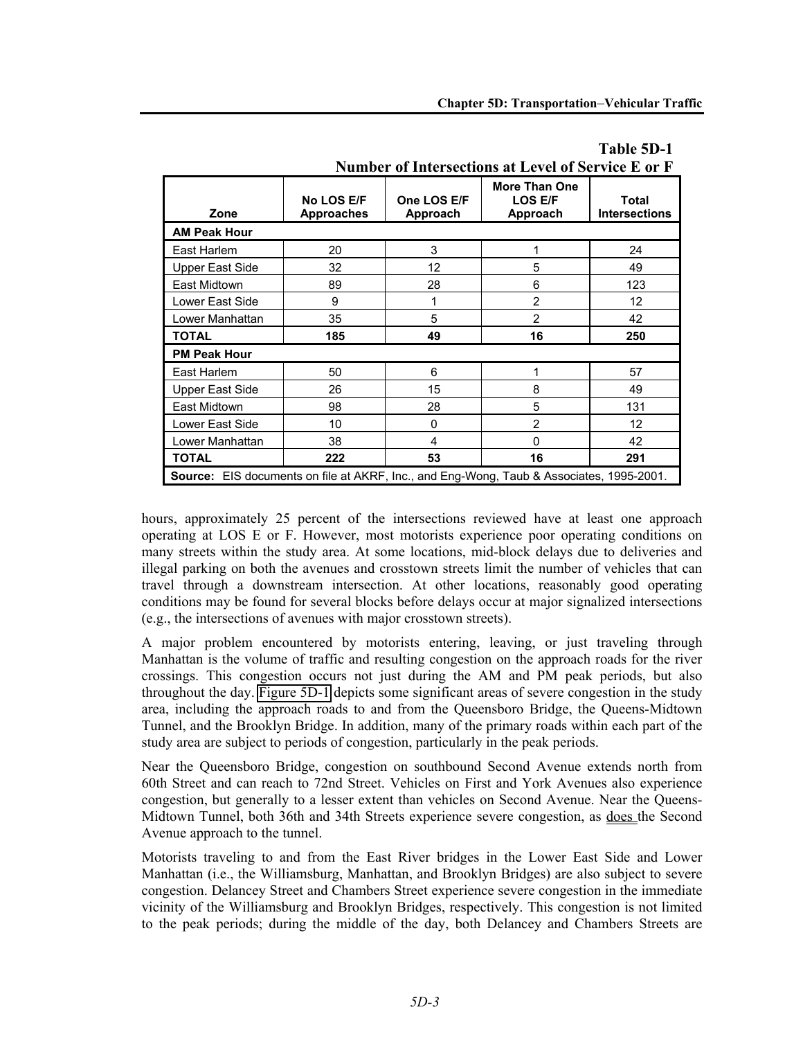**Number of Intersections at Level of Service E or F**

| Zone                                                                                            | No LOS E/F<br><b>Approaches</b> | One LOS E/F<br>Approach | <b>More Than One</b><br><b>LOS E/F</b><br>Approach | Total<br><b>Intersections</b> |
|-------------------------------------------------------------------------------------------------|---------------------------------|-------------------------|----------------------------------------------------|-------------------------------|
| <b>AM Peak Hour</b>                                                                             |                                 |                         |                                                    |                               |
| East Harlem                                                                                     | 20                              | 3                       |                                                    | 24                            |
| Upper East Side                                                                                 | 32                              | 12                      | 5                                                  | 49                            |
| East Midtown                                                                                    | 89                              | 28                      | 6                                                  | 123                           |
| Lower East Side                                                                                 | 9                               |                         | $\overline{2}$                                     | 12                            |
| Lower Manhattan                                                                                 | 35                              | 5                       | $\overline{2}$                                     | 42                            |
| <b>TOTAL</b>                                                                                    | 185                             | 49                      | 16                                                 | 250                           |
| <b>PM Peak Hour</b>                                                                             |                                 |                         |                                                    |                               |
| East Harlem                                                                                     | 50                              | 6                       |                                                    | 57                            |
| <b>Upper East Side</b>                                                                          | 26                              | 15                      | 8                                                  | 49                            |
| East Midtown                                                                                    | 98                              | 28                      | 5                                                  | 131                           |
| Lower East Side                                                                                 | 10                              | 0                       | $\overline{2}$                                     | 12                            |
| Lower Manhattan                                                                                 | 38                              | 4                       | $\Omega$                                           | 42                            |
| <b>TOTAL</b>                                                                                    | 222                             | 53                      | 16                                                 | 291                           |
| <b>Source:</b> EIS documents on file at AKRF, Inc., and Eng-Wong, Taub & Associates, 1995-2001. |                                 |                         |                                                    |                               |

# **Table 5D-1**

| hours, approximately 25 percent of the intersections reviewed have at least one approach         |  |  |  |  |
|--------------------------------------------------------------------------------------------------|--|--|--|--|
| operating at LOS E or F. However, most motorists experience poor operating conditions on         |  |  |  |  |
| many streets within the study area. At some locations, mid-block delays due to deliveries and    |  |  |  |  |
| illegal parking on both the avenues and crosstown streets limit the number of vehicles that can  |  |  |  |  |
| travel through a downstream intersection. At other locations, reasonably good operating          |  |  |  |  |
| conditions may be found for several blocks before delays occur at major signalized intersections |  |  |  |  |
| (e.g., the intersections of avenues with major crosstown streets).                               |  |  |  |  |

A major problem encountered by motorists entering, leaving, or just traveling through

Manhattan is the volume of traffic and resulting congestion on the approach roads for the river crossings. This congestion occurs not just during the AM and PM peak periods, but also throughout the day. Figure 5D-1 depicts some significant areas of severe congestion in the study area, including the approach roads to and from the Queensboro Bridge, the Queens-Midtown Tunnel, and the Brooklyn Bridge. In addition, many of the primary roads within each part of the study area are subject to periods of congestion, particularly in the peak periods.

Near the Queensboro Bridge, congestion on southbound Second Avenue extends north from 60th Street and can reach to 72nd Street. Vehicles on First and York Avenues also experience congestion, but generally to a lesser extent than vehicles on Second Avenue. Near the Queens-Midtown Tunnel, both 36th and 34th Streets experience severe congestion, as does the Second Avenue approach to the tunnel.

Motorists traveling to and from the East River bridges in the Lower East Side and Lower Manhattan (i.e., the Williamsburg, Manhattan, and Brooklyn Bridges) are also subject to severe congestion. Delancey Street and Chambers Street experience severe congestion in the immediate vicinity of the Williamsburg and Brooklyn Bridges, respectively. This congestion is not limited to the peak periods; during the middle of the day, both Delancey and Chambers Streets are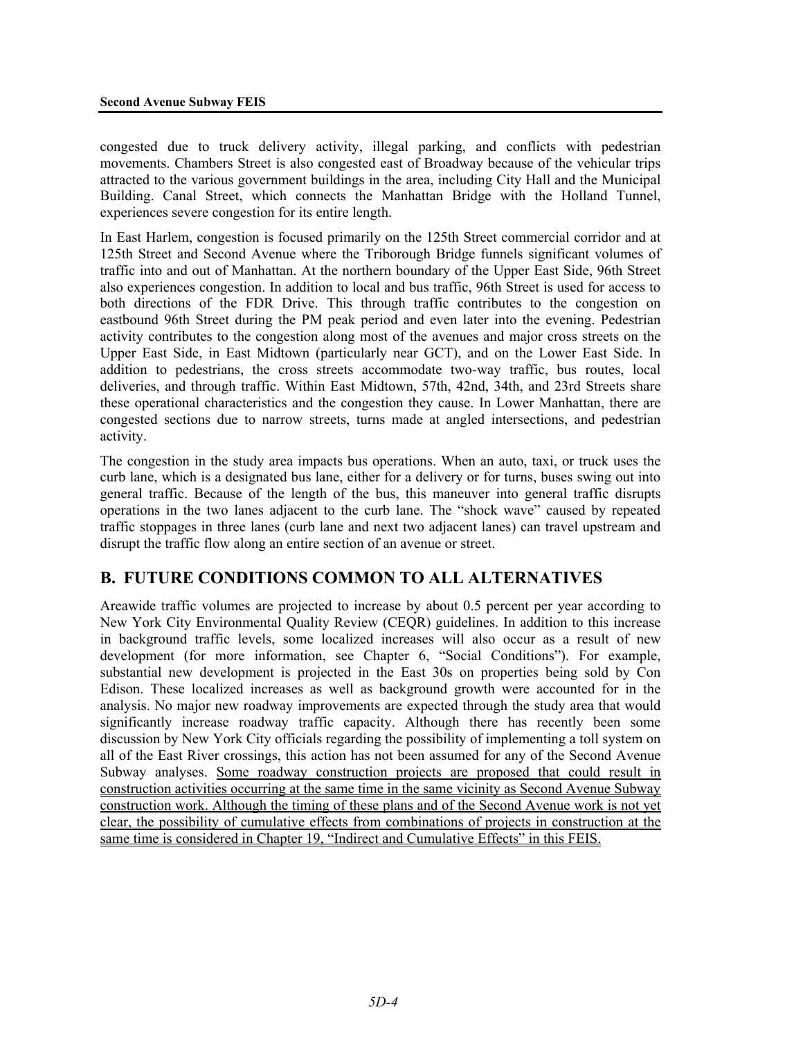congested due to truck delivery activity, illegal parking, and conflicts with pedestrian movements. Chambers Street is also congested east of Broadway because of the vehicular trips attracted to the various government buildings in the area, including City Hall and the Municipal Building. Canal Street, which connects the Manhattan Bridge with the Holland Tunnel, experiences severe congestion for its entire length.

In East Harlem, congestion is focused primarily on the 125th Street commercial corridor and at 125th Street and Second Avenue where the Triborough Bridge funnels significant volumes of traffic into and out of Manhattan. At the northern boundary of the Upper East Side, 96th Street also experiences congestion. In addition to local and bus traffic, 96th Street is used for access to both directions of the FDR Drive. This through traffic contributes to the congestion on eastbound 96th Street during the PM peak period and even later into the evening. Pedestrian activity contributes to the congestion along most of the avenues and major cross streets on the Upper East Side, in East Midtown (particularly near GCT), and on the Lower East Side. In addition to pedestrians, the cross streets accommodate two-way traffic, bus routes, local deliveries, and through traffic. Within East Midtown, 57th, 42nd, 34th, and 23rd Streets share these operational characteristics and the congestion they cause. In Lower Manhattan, there are congested sections due to narrow streets, turns made at angled intersections, and pedestrian activity.

The congestion in the study area impacts bus operations. When an auto, taxi, or truck uses the curb lane, which is a designated bus lane, either for a delivery or for turns, buses swing out into general traffic. Because of the length of the bus, this maneuver into general traffic disrupts operations in the two lanes adjacent to the curb lane. The "shock wave" caused by repeated traffic stoppages in three lanes (curb lane and next two adjacent lanes) can travel upstream and disrupt the traffic flow along an entire section of an avenue or street.

# **B. FUTURE CONDITIONS COMMON TO ALL ALTERNATIVES**

Areawide traffic volumes are projected to increase by about 0.5 percent per year according to New York City Environmental Quality Review (CEQR) guidelines. In addition to this increase in background traffic levels, some localized increases will also occur as a result of new development (for more information, see Chapter 6, "Social Conditions"). For example, substantial new development is projected in the East 30s on properties being sold by Con Edison. These localized increases as well as background growth were accounted for in the analysis. No major new roadway improvements are expected through the study area that would significantly increase roadway traffic capacity. Although there has recently been some discussion by New York City officials regarding the possibility of implementing a toll system on all of the East River crossings, this action has not been assumed for any of the Second Avenue Subway analyses. Some roadway construction projects are proposed that could result in construction activities occurring at the same time in the same vicinity as Second Avenue Subway construction work. Although the timing of these plans and of the Second Avenue work is not yet clear, the possibility of cumulative effects from combinations of projects in construction at the same time is considered in Chapter 19, "Indirect and Cumulative Effects" in this FEIS.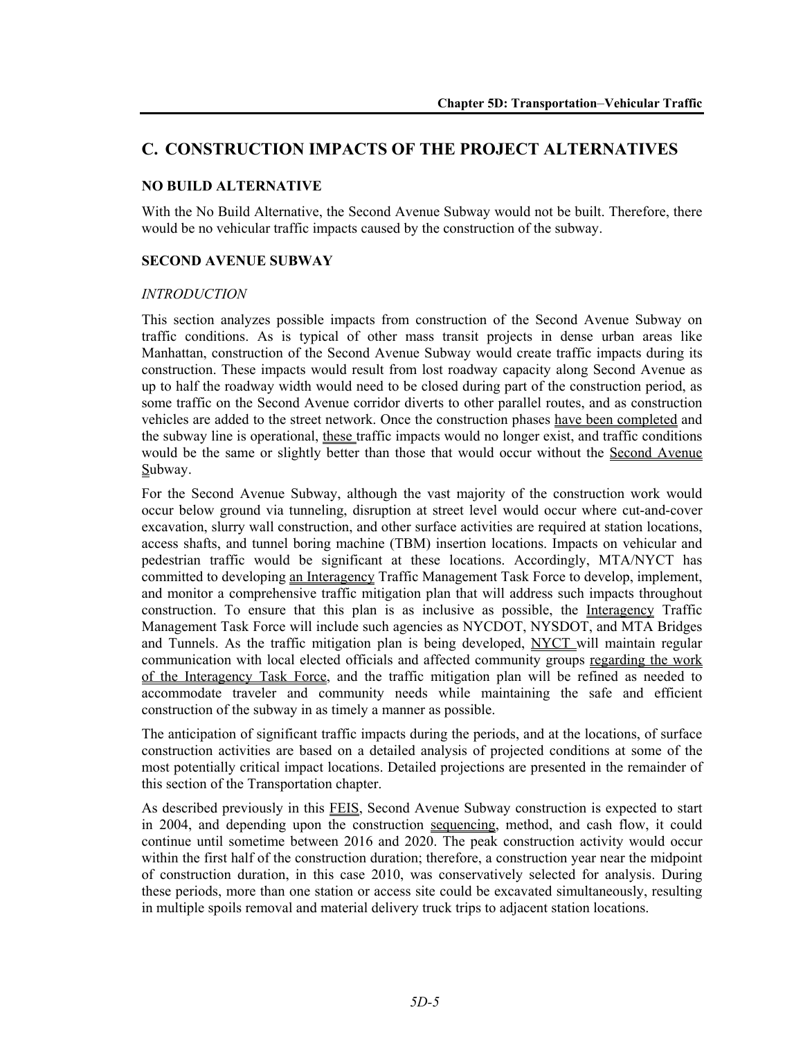# **C. CONSTRUCTION IMPACTS OF THE PROJECT ALTERNATIVES**

## **NO BUILD ALTERNATIVE**

With the No Build Alternative, the Second Avenue Subway would not be built. Therefore, there would be no vehicular traffic impacts caused by the construction of the subway.

### **SECOND AVENUE SUBWAY**

#### *INTRODUCTION*

This section analyzes possible impacts from construction of the Second Avenue Subway on traffic conditions. As is typical of other mass transit projects in dense urban areas like Manhattan, construction of the Second Avenue Subway would create traffic impacts during its construction. These impacts would result from lost roadway capacity along Second Avenue as up to half the roadway width would need to be closed during part of the construction period, as some traffic on the Second Avenue corridor diverts to other parallel routes, and as construction vehicles are added to the street network. Once the construction phases have been completed and the subway line is operational, these traffic impacts would no longer exist, and traffic conditions would be the same or slightly better than those that would occur without the Second Avenue Subway.

For the Second Avenue Subway, although the vast majority of the construction work would occur below ground via tunneling, disruption at street level would occur where cut-and-cover excavation, slurry wall construction, and other surface activities are required at station locations, access shafts, and tunnel boring machine (TBM) insertion locations. Impacts on vehicular and pedestrian traffic would be significant at these locations. Accordingly, MTA/NYCT has committed to developing an Interagency Traffic Management Task Force to develop, implement, and monitor a comprehensive traffic mitigation plan that will address such impacts throughout construction. To ensure that this plan is as inclusive as possible, the Interagency Traffic Management Task Force will include such agencies as NYCDOT, NYSDOT, and MTA Bridges and Tunnels. As the traffic mitigation plan is being developed, NYCT will maintain regular communication with local elected officials and affected community groups regarding the work of the Interagency Task Force, and the traffic mitigation plan will be refined as needed to accommodate traveler and community needs while maintaining the safe and efficient construction of the subway in as timely a manner as possible.

The anticipation of significant traffic impacts during the periods, and at the locations, of surface construction activities are based on a detailed analysis of projected conditions at some of the most potentially critical impact locations. Detailed projections are presented in the remainder of this section of the Transportation chapter.

As described previously in this FEIS, Second Avenue Subway construction is expected to start in 2004, and depending upon the construction sequencing, method, and cash flow, it could continue until sometime between 2016 and 2020. The peak construction activity would occur within the first half of the construction duration; therefore, a construction year near the midpoint of construction duration, in this case 2010, was conservatively selected for analysis. During these periods, more than one station or access site could be excavated simultaneously, resulting in multiple spoils removal and material delivery truck trips to adjacent station locations.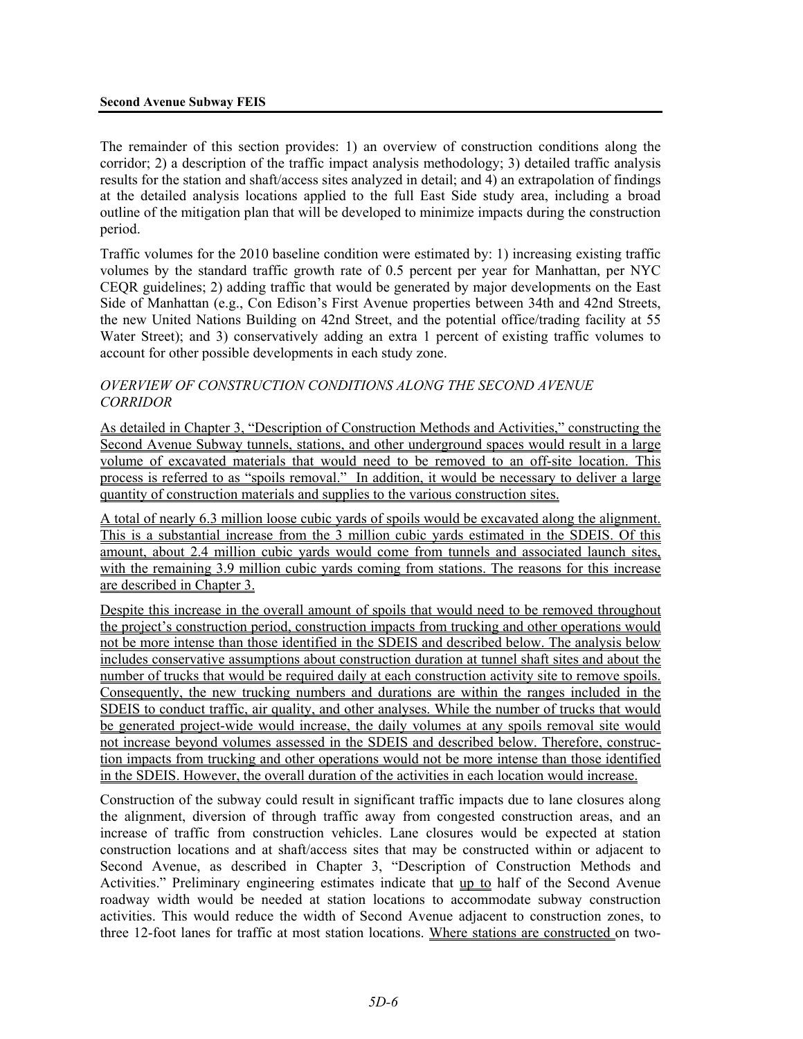#### **Second Avenue Subway FEIS**

The remainder of this section provides: 1) an overview of construction conditions along the corridor; 2) a description of the traffic impact analysis methodology; 3) detailed traffic analysis results for the station and shaft/access sites analyzed in detail; and 4) an extrapolation of findings at the detailed analysis locations applied to the full East Side study area, including a broad outline of the mitigation plan that will be developed to minimize impacts during the construction period.

Traffic volumes for the 2010 baseline condition were estimated by: 1) increasing existing traffic volumes by the standard traffic growth rate of 0.5 percent per year for Manhattan, per NYC CEQR guidelines; 2) adding traffic that would be generated by major developments on the East Side of Manhattan (e.g., Con Edison's First Avenue properties between 34th and 42nd Streets, the new United Nations Building on 42nd Street, and the potential office/trading facility at 55 Water Street); and 3) conservatively adding an extra 1 percent of existing traffic volumes to account for other possible developments in each study zone.

## *OVERVIEW OF CONSTRUCTION CONDITIONS ALONG THE SECOND AVENUE CORRIDOR*

As detailed in Chapter 3, "Description of Construction Methods and Activities," constructing the Second Avenue Subway tunnels, stations, and other underground spaces would result in a large volume of excavated materials that would need to be removed to an off-site location. This process is referred to as "spoils removal." In addition, it would be necessary to deliver a large quantity of construction materials and supplies to the various construction sites.

A total of nearly 6.3 million loose cubic yards of spoils would be excavated along the alignment. This is a substantial increase from the 3 million cubic yards estimated in the SDEIS. Of this amount, about 2.4 million cubic yards would come from tunnels and associated launch sites, with the remaining 3.9 million cubic yards coming from stations. The reasons for this increase are described in Chapter 3.

Despite this increase in the overall amount of spoils that would need to be removed throughout the project's construction period, construction impacts from trucking and other operations would not be more intense than those identified in the SDEIS and described below. The analysis below includes conservative assumptions about construction duration at tunnel shaft sites and about the number of trucks that would be required daily at each construction activity site to remove spoils. Consequently, the new trucking numbers and durations are within the ranges included in the SDEIS to conduct traffic, air quality, and other analyses. While the number of trucks that would be generated project-wide would increase, the daily volumes at any spoils removal site would not increase beyond volumes assessed in the SDEIS and described below. Therefore, construction impacts from trucking and other operations would not be more intense than those identified in the SDEIS. However, the overall duration of the activities in each location would increase.

Construction of the subway could result in significant traffic impacts due to lane closures along the alignment, diversion of through traffic away from congested construction areas, and an increase of traffic from construction vehicles. Lane closures would be expected at station construction locations and at shaft/access sites that may be constructed within or adjacent to Second Avenue, as described in Chapter 3, "Description of Construction Methods and Activities." Preliminary engineering estimates indicate that up to half of the Second Avenue roadway width would be needed at station locations to accommodate subway construction activities. This would reduce the width of Second Avenue adjacent to construction zones, to three 12-foot lanes for traffic at most station locations. Where stations are constructed on two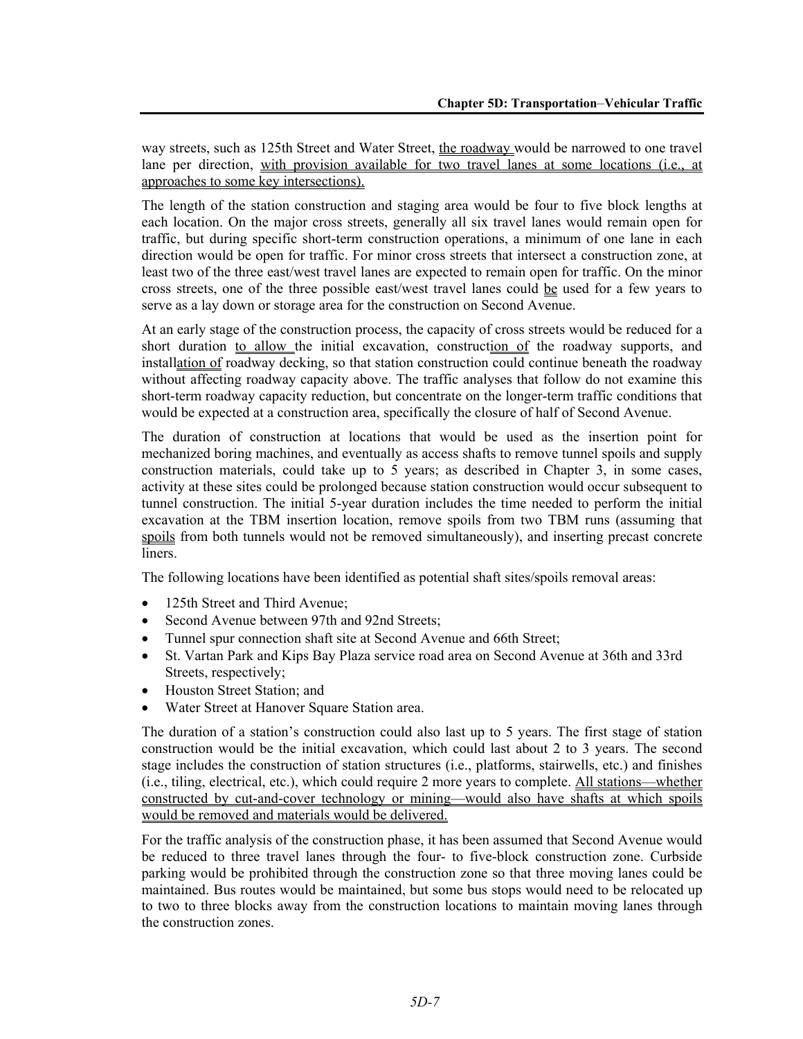way streets, such as 125th Street and Water Street, the roadway would be narrowed to one travel lane per direction, with provision available for two travel lanes at some locations (i.e., at approaches to some key intersections).

The length of the station construction and staging area would be four to five block lengths at each location. On the major cross streets, generally all six travel lanes would remain open for traffic, but during specific short-term construction operations, a minimum of one lane in each direction would be open for traffic. For minor cross streets that intersect a construction zone, at least two of the three east/west travel lanes are expected to remain open for traffic. On the minor cross streets, one of the three possible east/west travel lanes could be used for a few years to serve as a lay down or storage area for the construction on Second Avenue.

At an early stage of the construction process, the capacity of cross streets would be reduced for a short duration to allow the initial excavation, construction of the roadway supports, and installation of roadway decking, so that station construction could continue beneath the roadway without affecting roadway capacity above. The traffic analyses that follow do not examine this short-term roadway capacity reduction, but concentrate on the longer-term traffic conditions that would be expected at a construction area, specifically the closure of half of Second Avenue.

The duration of construction at locations that would be used as the insertion point for mechanized boring machines, and eventually as access shafts to remove tunnel spoils and supply construction materials, could take up to 5 years; as described in Chapter 3, in some cases, activity at these sites could be prolonged because station construction would occur subsequent to tunnel construction. The initial 5-year duration includes the time needed to perform the initial excavation at the TBM insertion location, remove spoils from two TBM runs (assuming that spoils from both tunnels would not be removed simultaneously), and inserting precast concrete liners.

The following locations have been identified as potential shaft sites/spoils removal areas:

- 125th Street and Third Avenue;
- Second Avenue between 97th and 92nd Streets;
- Tunnel spur connection shaft site at Second Avenue and 66th Street;
- St. Vartan Park and Kips Bay Plaza service road area on Second Avenue at 36th and 33rd Streets, respectively;
- Houston Street Station; and
- Water Street at Hanover Square Station area.

The duration of a station's construction could also last up to 5 years. The first stage of station construction would be the initial excavation, which could last about 2 to 3 years. The second stage includes the construction of station structures (i.e., platforms, stairwells, etc.) and finishes (i.e., tiling, electrical, etc.), which could require 2 more years to complete. All stations—whether constructed by cut-and-cover technology or mining—would also have shafts at which spoils would be removed and materials would be delivered.

For the traffic analysis of the construction phase, it has been assumed that Second Avenue would be reduced to three travel lanes through the four- to five-block construction zone. Curbside parking would be prohibited through the construction zone so that three moving lanes could be maintained. Bus routes would be maintained, but some bus stops would need to be relocated up to two to three blocks away from the construction locations to maintain moving lanes through the construction zones.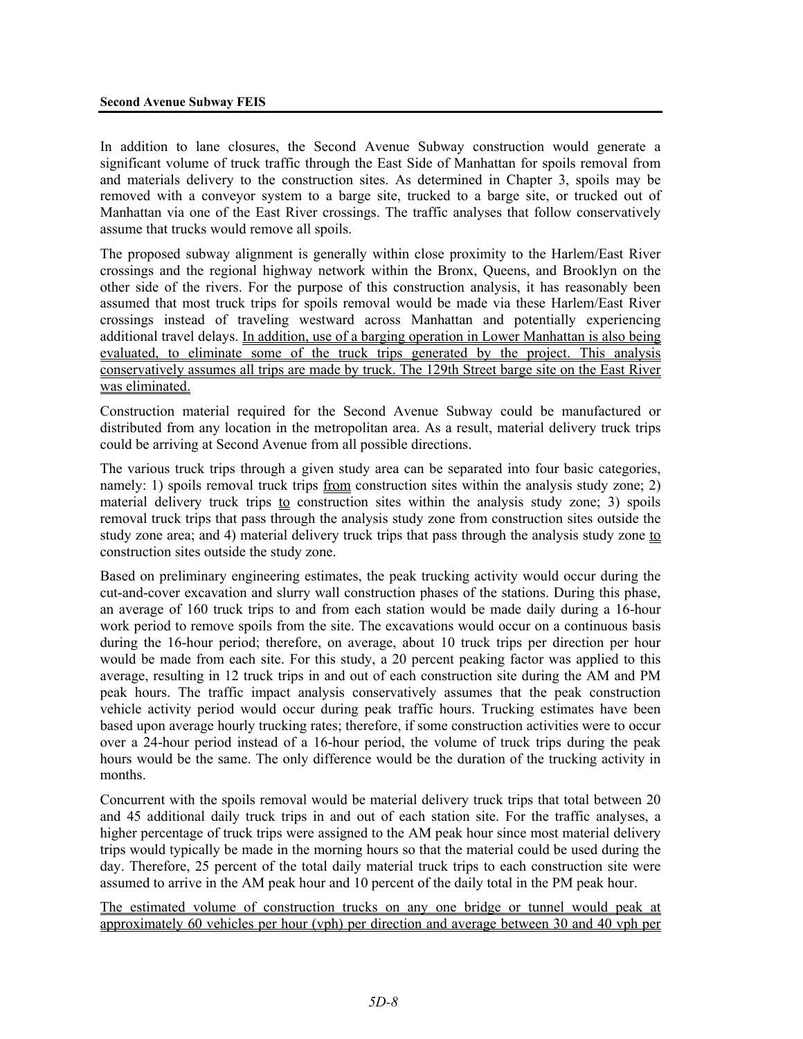In addition to lane closures, the Second Avenue Subway construction would generate a significant volume of truck traffic through the East Side of Manhattan for spoils removal from and materials delivery to the construction sites. As determined in Chapter 3, spoils may be removed with a conveyor system to a barge site, trucked to a barge site, or trucked out of Manhattan via one of the East River crossings. The traffic analyses that follow conservatively assume that trucks would remove all spoils.

The proposed subway alignment is generally within close proximity to the Harlem/East River crossings and the regional highway network within the Bronx, Queens, and Brooklyn on the other side of the rivers. For the purpose of this construction analysis, it has reasonably been assumed that most truck trips for spoils removal would be made via these Harlem/East River crossings instead of traveling westward across Manhattan and potentially experiencing additional travel delays. In addition, use of a barging operation in Lower Manhattan is also being evaluated, to eliminate some of the truck trips generated by the project. This analysis conservatively assumes all trips are made by truck. The 129th Street barge site on the East River was eliminated.

Construction material required for the Second Avenue Subway could be manufactured or distributed from any location in the metropolitan area. As a result, material delivery truck trips could be arriving at Second Avenue from all possible directions.

The various truck trips through a given study area can be separated into four basic categories, namely: 1) spoils removal truck trips from construction sites within the analysis study zone; 2) material delivery truck trips to construction sites within the analysis study zone; 3) spoils removal truck trips that pass through the analysis study zone from construction sites outside the study zone area; and 4) material delivery truck trips that pass through the analysis study zone to construction sites outside the study zone.

Based on preliminary engineering estimates, the peak trucking activity would occur during the cut-and-cover excavation and slurry wall construction phases of the stations. During this phase, an average of 160 truck trips to and from each station would be made daily during a 16-hour work period to remove spoils from the site. The excavations would occur on a continuous basis during the 16-hour period; therefore, on average, about 10 truck trips per direction per hour would be made from each site. For this study, a 20 percent peaking factor was applied to this average, resulting in 12 truck trips in and out of each construction site during the AM and PM peak hours. The traffic impact analysis conservatively assumes that the peak construction vehicle activity period would occur during peak traffic hours. Trucking estimates have been based upon average hourly trucking rates; therefore, if some construction activities were to occur over a 24-hour period instead of a 16-hour period, the volume of truck trips during the peak hours would be the same. The only difference would be the duration of the trucking activity in months.

Concurrent with the spoils removal would be material delivery truck trips that total between 20 and 45 additional daily truck trips in and out of each station site. For the traffic analyses, a higher percentage of truck trips were assigned to the AM peak hour since most material delivery trips would typically be made in the morning hours so that the material could be used during the day. Therefore, 25 percent of the total daily material truck trips to each construction site were assumed to arrive in the AM peak hour and 10 percent of the daily total in the PM peak hour.

The estimated volume of construction trucks on any one bridge or tunnel would peak at approximately 60 vehicles per hour (vph) per direction and average between 30 and 40 vph per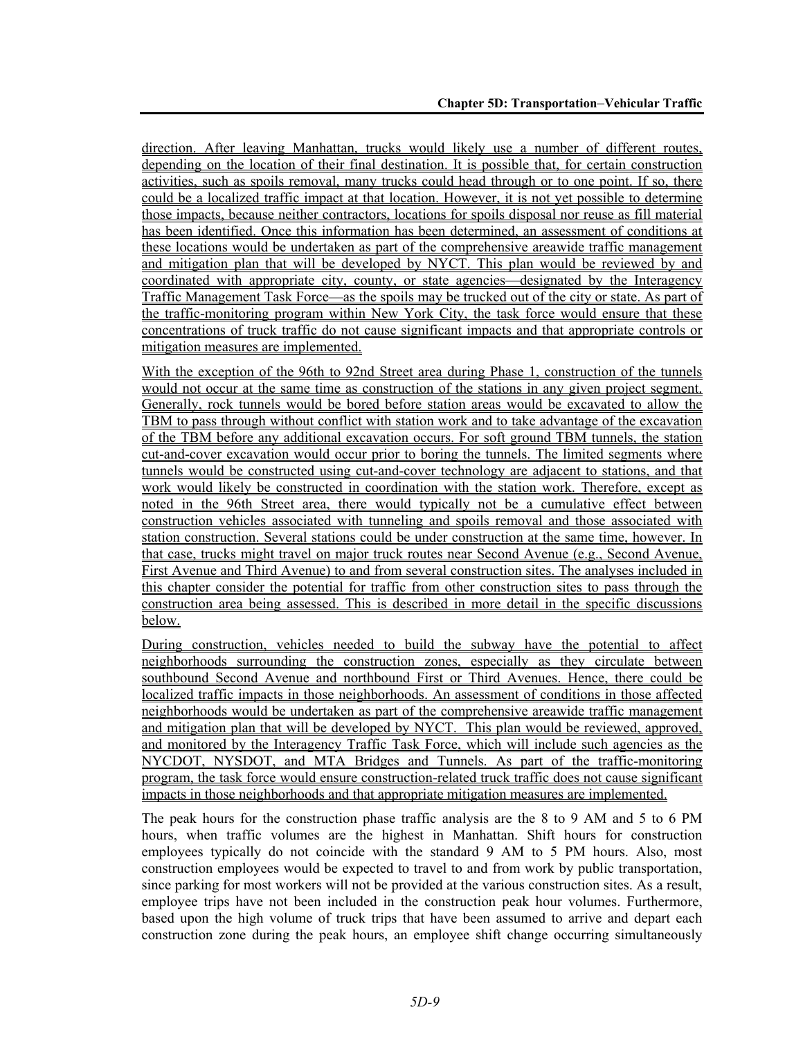direction. After leaving Manhattan, trucks would likely use a number of different routes, depending on the location of their final destination. It is possible that, for certain construction activities, such as spoils removal, many trucks could head through or to one point. If so, there could be a localized traffic impact at that location. However, it is not yet possible to determine those impacts, because neither contractors, locations for spoils disposal nor reuse as fill material has been identified. Once this information has been determined, an assessment of conditions at these locations would be undertaken as part of the comprehensive areawide traffic management and mitigation plan that will be developed by NYCT. This plan would be reviewed by and coordinated with appropriate city, county, or state agencies—designated by the Interagency Traffic Management Task Force—as the spoils may be trucked out of the city or state. As part of the traffic-monitoring program within New York City, the task force would ensure that these concentrations of truck traffic do not cause significant impacts and that appropriate controls or mitigation measures are implemented.

With the exception of the 96th to 92nd Street area during Phase 1, construction of the tunnels would not occur at the same time as construction of the stations in any given project segment. Generally, rock tunnels would be bored before station areas would be excavated to allow the TBM to pass through without conflict with station work and to take advantage of the excavation of the TBM before any additional excavation occurs. For soft ground TBM tunnels, the station cut-and-cover excavation would occur prior to boring the tunnels. The limited segments where tunnels would be constructed using cut-and-cover technology are adjacent to stations, and that work would likely be constructed in coordination with the station work. Therefore, except as noted in the 96th Street area, there would typically not be a cumulative effect between construction vehicles associated with tunneling and spoils removal and those associated with station construction. Several stations could be under construction at the same time, however. In that case, trucks might travel on major truck routes near Second Avenue (e.g., Second Avenue, First Avenue and Third Avenue) to and from several construction sites. The analyses included in this chapter consider the potential for traffic from other construction sites to pass through the construction area being assessed. This is described in more detail in the specific discussions below.

During construction, vehicles needed to build the subway have the potential to affect neighborhoods surrounding the construction zones, especially as they circulate between southbound Second Avenue and northbound First or Third Avenues. Hence, there could be localized traffic impacts in those neighborhoods. An assessment of conditions in those affected neighborhoods would be undertaken as part of the comprehensive areawide traffic management and mitigation plan that will be developed by NYCT. This plan would be reviewed, approved, and monitored by the Interagency Traffic Task Force, which will include such agencies as the NYCDOT, NYSDOT, and MTA Bridges and Tunnels. As part of the traffic-monitoring program, the task force would ensure construction-related truck traffic does not cause significant impacts in those neighborhoods and that appropriate mitigation measures are implemented.

The peak hours for the construction phase traffic analysis are the 8 to 9 AM and 5 to 6 PM hours, when traffic volumes are the highest in Manhattan. Shift hours for construction employees typically do not coincide with the standard 9 AM to 5 PM hours. Also, most construction employees would be expected to travel to and from work by public transportation, since parking for most workers will not be provided at the various construction sites. As a result, employee trips have not been included in the construction peak hour volumes. Furthermore, based upon the high volume of truck trips that have been assumed to arrive and depart each construction zone during the peak hours, an employee shift change occurring simultaneously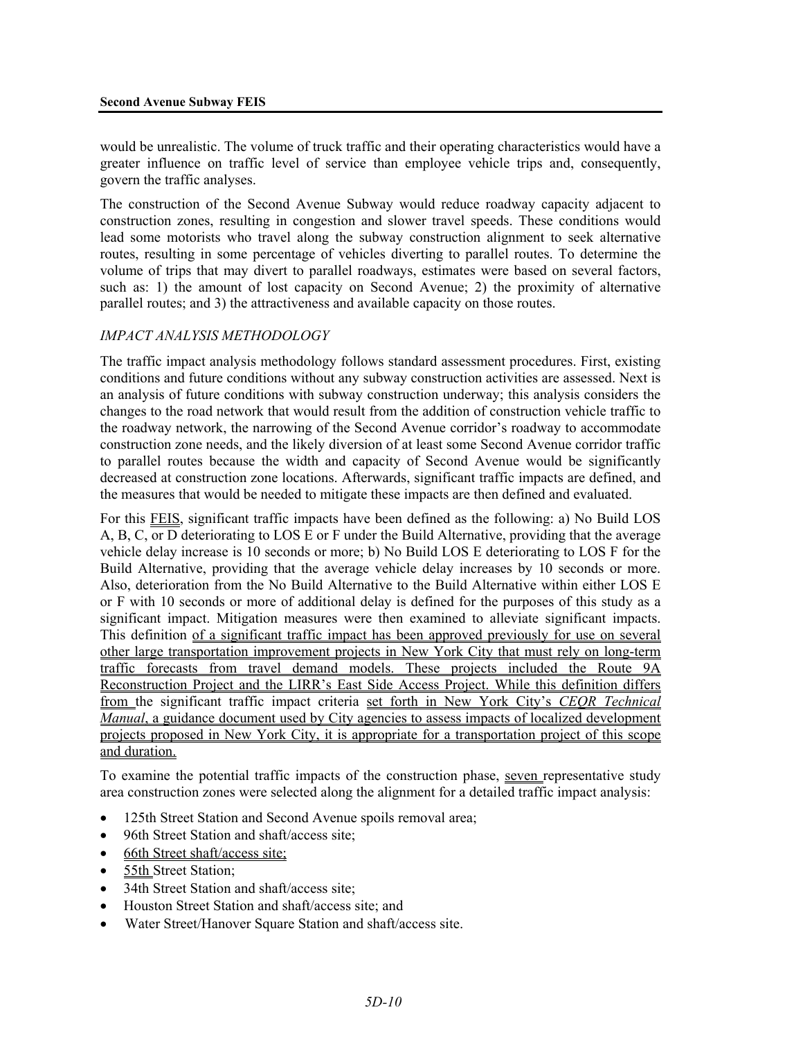would be unrealistic. The volume of truck traffic and their operating characteristics would have a greater influence on traffic level of service than employee vehicle trips and, consequently, govern the traffic analyses.

The construction of the Second Avenue Subway would reduce roadway capacity adjacent to construction zones, resulting in congestion and slower travel speeds. These conditions would lead some motorists who travel along the subway construction alignment to seek alternative routes, resulting in some percentage of vehicles diverting to parallel routes. To determine the volume of trips that may divert to parallel roadways, estimates were based on several factors, such as: 1) the amount of lost capacity on Second Avenue; 2) the proximity of alternative parallel routes; and 3) the attractiveness and available capacity on those routes.

## *IMPACT ANALYSIS METHODOLOGY*

The traffic impact analysis methodology follows standard assessment procedures. First, existing conditions and future conditions without any subway construction activities are assessed. Next is an analysis of future conditions with subway construction underway; this analysis considers the changes to the road network that would result from the addition of construction vehicle traffic to the roadway network, the narrowing of the Second Avenue corridor's roadway to accommodate construction zone needs, and the likely diversion of at least some Second Avenue corridor traffic to parallel routes because the width and capacity of Second Avenue would be significantly decreased at construction zone locations. Afterwards, significant traffic impacts are defined, and the measures that would be needed to mitigate these impacts are then defined and evaluated.

For this FEIS, significant traffic impacts have been defined as the following: a) No Build LOS A, B, C, or D deteriorating to LOS E or F under the Build Alternative, providing that the average vehicle delay increase is 10 seconds or more; b) No Build LOS E deteriorating to LOS F for the Build Alternative, providing that the average vehicle delay increases by 10 seconds or more. Also, deterioration from the No Build Alternative to the Build Alternative within either LOS E or F with 10 seconds or more of additional delay is defined for the purposes of this study as a significant impact. Mitigation measures were then examined to alleviate significant impacts. This definition of a significant traffic impact has been approved previously for use on several other large transportation improvement projects in New York City that must rely on long-term traffic forecasts from travel demand models. These projects included the Route 9A Reconstruction Project and the LIRR's East Side Access Project. While this definition differs from the significant traffic impact criteria set forth in New York City's *CEQR Technical Manual*, a guidance document used by City agencies to assess impacts of localized development projects proposed in New York City, it is appropriate for a transportation project of this scope and duration.

To examine the potential traffic impacts of the construction phase, seven representative study area construction zones were selected along the alignment for a detailed traffic impact analysis:

- 125th Street Station and Second Avenue spoils removal area;
- 96th Street Station and shaft/access site;
- 66th Street shaft/access site;
- 55th Street Station;
- 34th Street Station and shaft/access site;
- Houston Street Station and shaft/access site; and
- Water Street/Hanover Square Station and shaft/access site.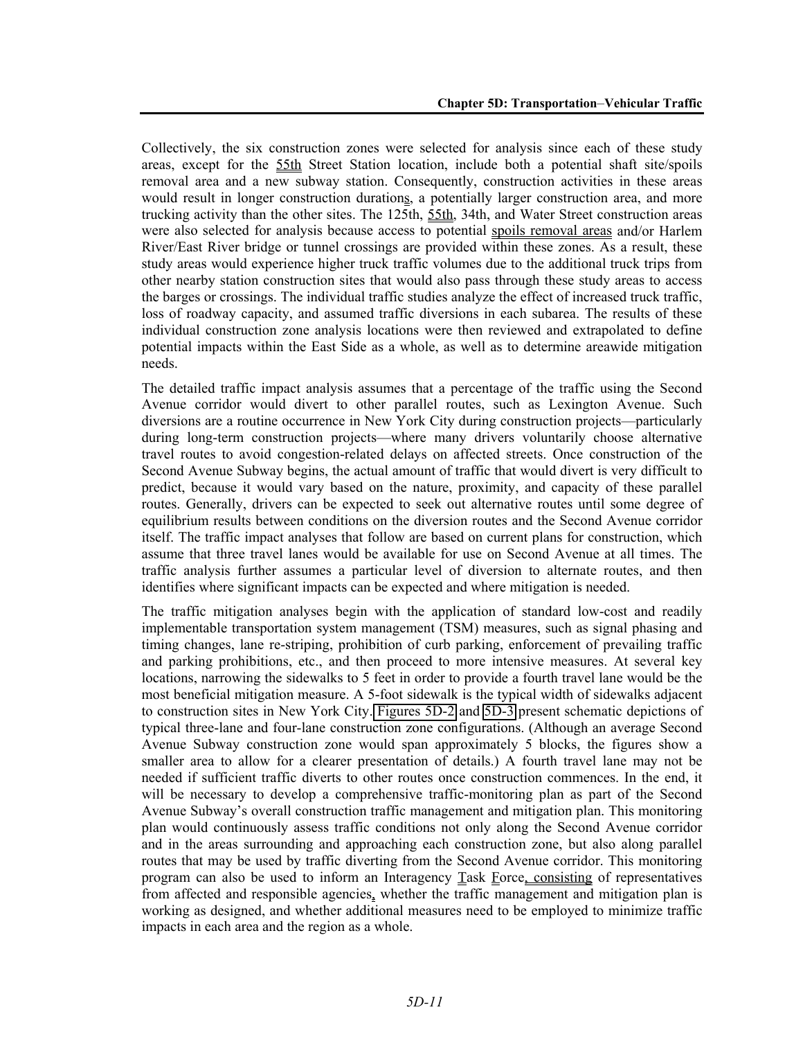Collectively, the six construction zones were selected for analysis since each of these study areas, except for the 55th Street Station location, include both a potential shaft site/spoils removal area and a new subway station. Consequently, construction activities in these areas would result in longer construction durations, a potentially larger construction area, and more trucking activity than the other sites. The 125th, 55th, 34th, and Water Street construction areas were also selected for analysis because access to potential spoils removal areas and/or Harlem River/East River bridge or tunnel crossings are provided within these zones. As a result, these study areas would experience higher truck traffic volumes due to the additional truck trips from other nearby station construction sites that would also pass through these study areas to access the barges or crossings. The individual traffic studies analyze the effect of increased truck traffic, loss of roadway capacity, and assumed traffic diversions in each subarea. The results of these individual construction zone analysis locations were then reviewed and extrapolated to define potential impacts within the East Side as a whole, as well as to determine areawide mitigation needs.

The detailed traffic impact analysis assumes that a percentage of the traffic using the Second Avenue corridor would divert to other parallel routes, such as Lexington Avenue. Such diversions are a routine occurrence in New York City during construction projects—particularly during long-term construction projects—where many drivers voluntarily choose alternative travel routes to avoid congestion-related delays on affected streets. Once construction of the Second Avenue Subway begins, the actual amount of traffic that would divert is very difficult to predict, because it would vary based on the nature, proximity, and capacity of these parallel routes. Generally, drivers can be expected to seek out alternative routes until some degree of equilibrium results between conditions on the diversion routes and the Second Avenue corridor itself. The traffic impact analyses that follow are based on current plans for construction, which assume that three travel lanes would be available for use on Second Avenue at all times. The traffic analysis further assumes a particular level of diversion to alternate routes, and then identifies where significant impacts can be expected and where mitigation is needed.

The traffic mitigation analyses begin with the application of standard low-cost and readily implementable transportation system management (TSM) measures, such as signal phasing and timing changes, lane re-striping, prohibition of curb parking, enforcement of prevailing traffic and parking prohibitions, etc., and then proceed to more intensive measures. At several key locations, narrowing the sidewalks to 5 feet in order to provide a fourth travel lane would be the most beneficial mitigation measure. A 5-foot sidewalk is the typical width of sidewalks adjacent to construction sites in New York City. Figures 5D-2 and 5D-3 present schematic depictions of typical three-lane and four-lane construction zone configurations. (Although an average Second Avenue Subway construction zone would span approximately 5 blocks, the figures show a smaller area to allow for a clearer presentation of details.) A fourth travel lane may not be needed if sufficient traffic diverts to other routes once construction commences. In the end, it will be necessary to develop a comprehensive traffic-monitoring plan as part of the Second Avenue Subway's overall construction traffic management and mitigation plan. This monitoring plan would continuously assess traffic conditions not only along the Second Avenue corridor and in the areas surrounding and approaching each construction zone, but also along parallel routes that may be used by traffic diverting from the Second Avenue corridor. This monitoring program can also be used to inform an Interagency Task Force, consisting of representatives from affected and responsible agencies, whether the traffic management and mitigation plan is working as designed, and whether additional measures need to be employed to minimize traffic impacts in each area and the region as a whole.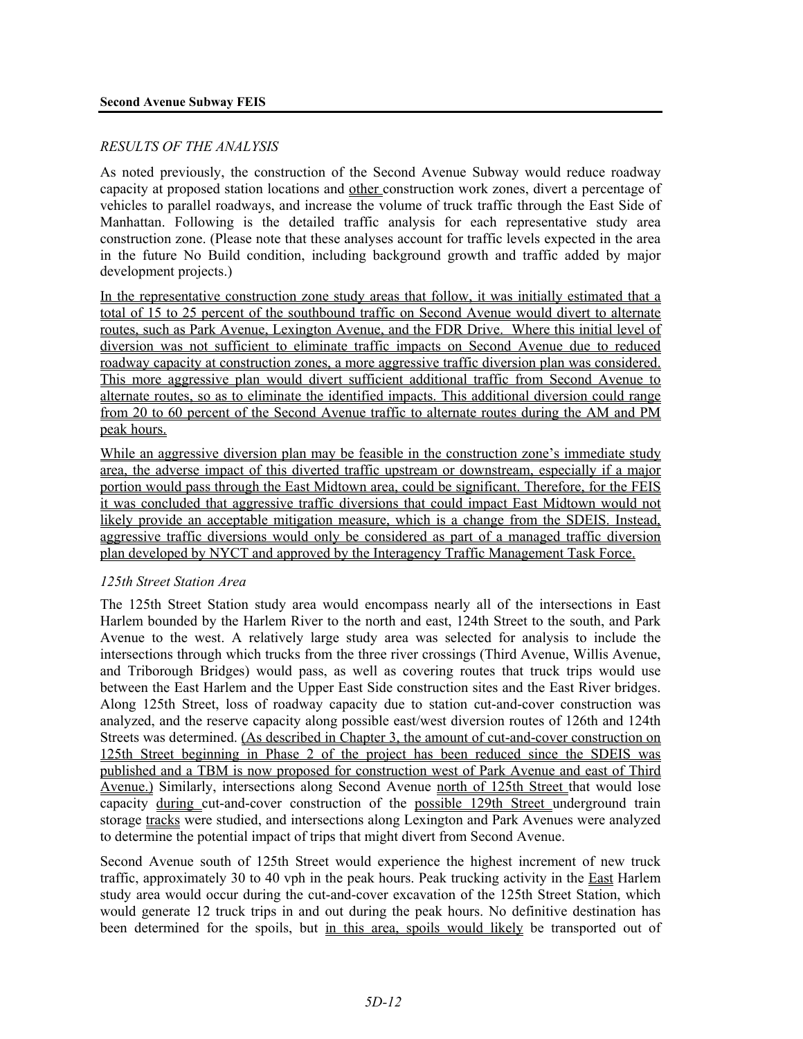#### *RESULTS OF THE ANALYSIS*

As noted previously, the construction of the Second Avenue Subway would reduce roadway capacity at proposed station locations and other construction work zones, divert a percentage of vehicles to parallel roadways, and increase the volume of truck traffic through the East Side of Manhattan. Following is the detailed traffic analysis for each representative study area construction zone. (Please note that these analyses account for traffic levels expected in the area in the future No Build condition, including background growth and traffic added by major development projects.)

In the representative construction zone study areas that follow, it was initially estimated that a total of 15 to 25 percent of the southbound traffic on Second Avenue would divert to alternate routes, such as Park Avenue, Lexington Avenue, and the FDR Drive. Where this initial level of diversion was not sufficient to eliminate traffic impacts on Second Avenue due to reduced roadway capacity at construction zones, a more aggressive traffic diversion plan was considered. This more aggressive plan would divert sufficient additional traffic from Second Avenue to alternate routes, so as to eliminate the identified impacts. This additional diversion could range from 20 to 60 percent of the Second Avenue traffic to alternate routes during the AM and PM peak hours.

While an aggressive diversion plan may be feasible in the construction zone's immediate study area, the adverse impact of this diverted traffic upstream or downstream, especially if a major portion would pass through the East Midtown area, could be significant. Therefore, for the FEIS it was concluded that aggressive traffic diversions that could impact East Midtown would not likely provide an acceptable mitigation measure, which is a change from the SDEIS. Instead, aggressive traffic diversions would only be considered as part of a managed traffic diversion plan developed by NYCT and approved by the Interagency Traffic Management Task Force.

#### *125th Street Station Area*

The 125th Street Station study area would encompass nearly all of the intersections in East Harlem bounded by the Harlem River to the north and east, 124th Street to the south, and Park Avenue to the west. A relatively large study area was selected for analysis to include the intersections through which trucks from the three river crossings (Third Avenue, Willis Avenue, and Triborough Bridges) would pass, as well as covering routes that truck trips would use between the East Harlem and the Upper East Side construction sites and the East River bridges. Along 125th Street, loss of roadway capacity due to station cut-and-cover construction was analyzed, and the reserve capacity along possible east/west diversion routes of 126th and 124th Streets was determined. (As described in Chapter 3, the amount of cut-and-cover construction on 125th Street beginning in Phase 2 of the project has been reduced since the SDEIS was published and a TBM is now proposed for construction west of Park Avenue and east of Third Avenue.) Similarly, intersections along Second Avenue north of 125th Street that would lose capacity during cut-and-cover construction of the possible 129th Street underground train storage tracks were studied, and intersections along Lexington and Park Avenues were analyzed to determine the potential impact of trips that might divert from Second Avenue.

Second Avenue south of 125th Street would experience the highest increment of new truck traffic, approximately 30 to 40 vph in the peak hours. Peak trucking activity in the East Harlem study area would occur during the cut-and-cover excavation of the 125th Street Station, which would generate 12 truck trips in and out during the peak hours. No definitive destination has been determined for the spoils, but in this area, spoils would likely be transported out of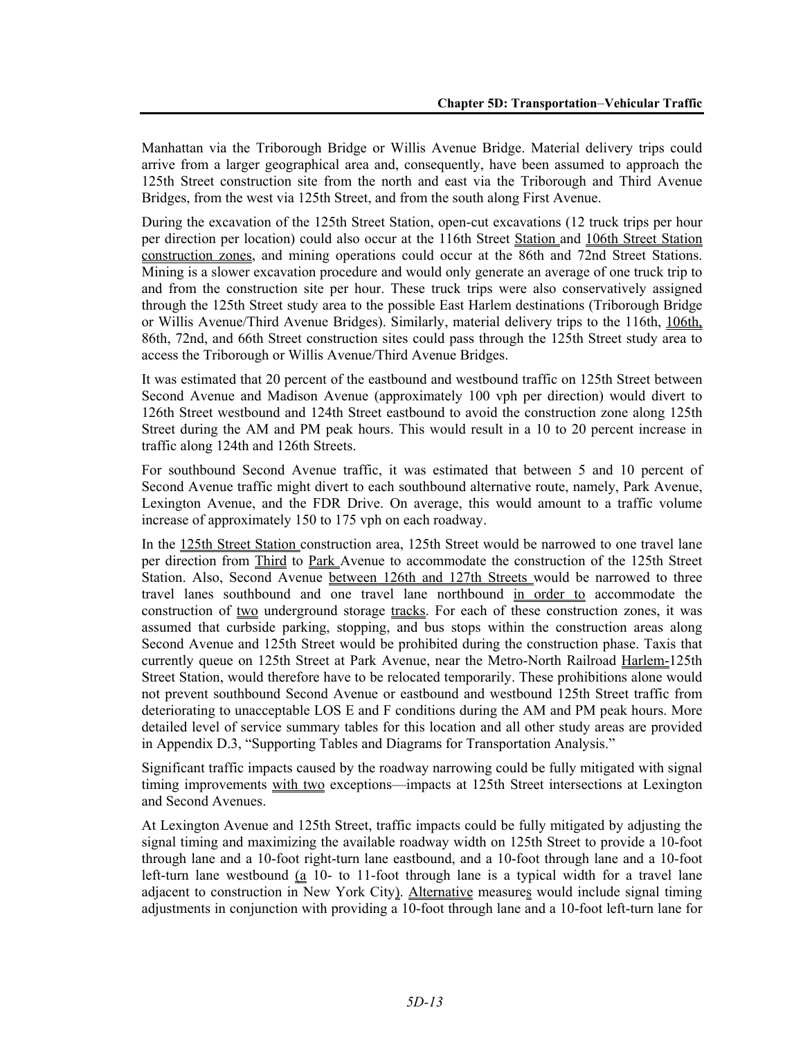Manhattan via the Triborough Bridge or Willis Avenue Bridge. Material delivery trips could arrive from a larger geographical area and, consequently, have been assumed to approach the 125th Street construction site from the north and east via the Triborough and Third Avenue Bridges, from the west via 125th Street, and from the south along First Avenue.

During the excavation of the 125th Street Station, open-cut excavations (12 truck trips per hour per direction per location) could also occur at the 116th Street Station and 106th Street Station construction zones, and mining operations could occur at the 86th and 72nd Street Stations. Mining is a slower excavation procedure and would only generate an average of one truck trip to and from the construction site per hour. These truck trips were also conservatively assigned through the 125th Street study area to the possible East Harlem destinations (Triborough Bridge or Willis Avenue/Third Avenue Bridges). Similarly, material delivery trips to the 116th, 106th, 86th, 72nd, and 66th Street construction sites could pass through the 125th Street study area to access the Triborough or Willis Avenue/Third Avenue Bridges.

It was estimated that 20 percent of the eastbound and westbound traffic on 125th Street between Second Avenue and Madison Avenue (approximately 100 vph per direction) would divert to 126th Street westbound and 124th Street eastbound to avoid the construction zone along 125th Street during the AM and PM peak hours. This would result in a 10 to 20 percent increase in traffic along 124th and 126th Streets.

For southbound Second Avenue traffic, it was estimated that between 5 and 10 percent of Second Avenue traffic might divert to each southbound alternative route, namely, Park Avenue, Lexington Avenue, and the FDR Drive. On average, this would amount to a traffic volume increase of approximately 150 to 175 vph on each roadway.

In the 125th Street Station construction area, 125th Street would be narrowed to one travel lane per direction from Third to Park Avenue to accommodate the construction of the 125th Street Station. Also, Second Avenue between 126th and 127th Streets would be narrowed to three travel lanes southbound and one travel lane northbound in order to accommodate the construction of two underground storage tracks. For each of these construction zones, it was assumed that curbside parking, stopping, and bus stops within the construction areas along Second Avenue and 125th Street would be prohibited during the construction phase. Taxis that currently queue on 125th Street at Park Avenue, near the Metro-North Railroad Harlem-125th Street Station, would therefore have to be relocated temporarily. These prohibitions alone would not prevent southbound Second Avenue or eastbound and westbound 125th Street traffic from deteriorating to unacceptable LOS E and F conditions during the AM and PM peak hours. More detailed level of service summary tables for this location and all other study areas are provided in Appendix D.3, "Supporting Tables and Diagrams for Transportation Analysis."

Significant traffic impacts caused by the roadway narrowing could be fully mitigated with signal timing improvements with two exceptions—impacts at 125th Street intersections at Lexington and Second Avenues.

At Lexington Avenue and 125th Street, traffic impacts could be fully mitigated by adjusting the signal timing and maximizing the available roadway width on 125th Street to provide a 10-foot through lane and a 10-foot right-turn lane eastbound, and a 10-foot through lane and a 10-foot left-turn lane westbound  $(a$  10- to 11-foot through lane is a typical width for a travel lane adjacent to construction in New York City). Alternative measures would include signal timing adjustments in conjunction with providing a 10-foot through lane and a 10-foot left-turn lane for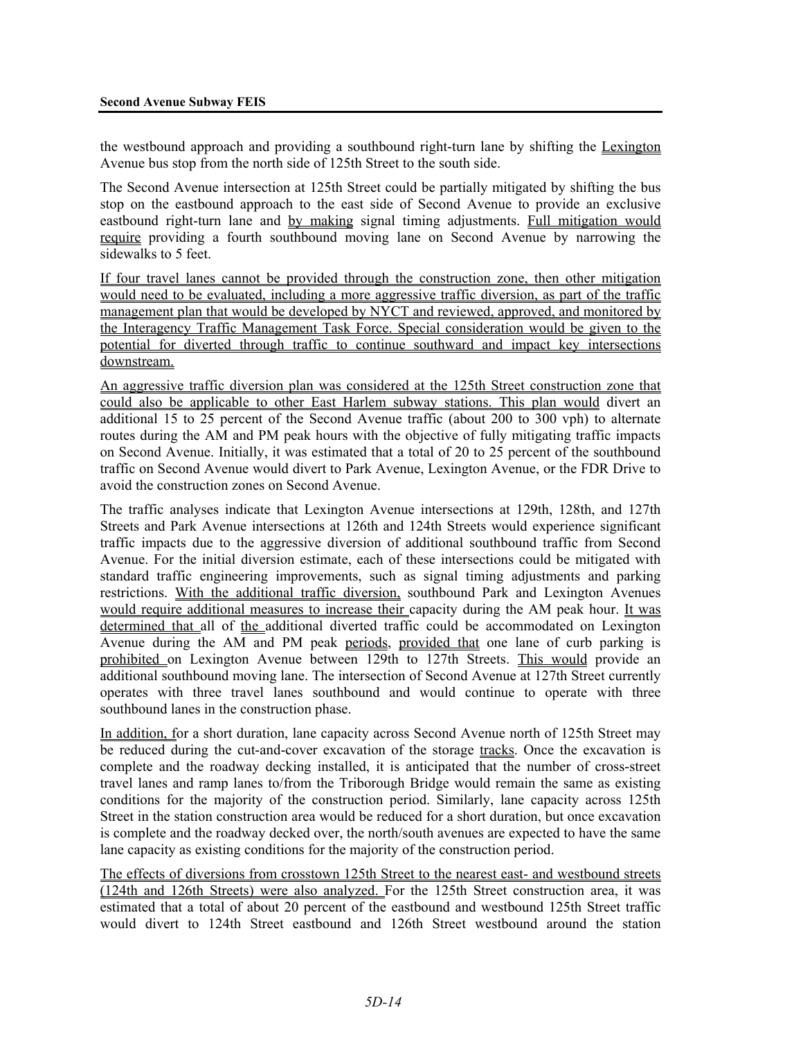the westbound approach and providing a southbound right-turn lane by shifting the Lexington Avenue bus stop from the north side of 125th Street to the south side.

The Second Avenue intersection at 125th Street could be partially mitigated by shifting the bus stop on the eastbound approach to the east side of Second Avenue to provide an exclusive eastbound right-turn lane and by making signal timing adjustments. Full mitigation would require providing a fourth southbound moving lane on Second Avenue by narrowing the sidewalks to 5 feet.

If four travel lanes cannot be provided through the construction zone, then other mitigation would need to be evaluated, including a more aggressive traffic diversion, as part of the traffic management plan that would be developed by NYCT and reviewed, approved, and monitored by the Interagency Traffic Management Task Force. Special consideration would be given to the potential for diverted through traffic to continue southward and impact key intersections downstream.

An aggressive traffic diversion plan was considered at the 125th Street construction zone that could also be applicable to other East Harlem subway stations. This plan would divert an additional 15 to 25 percent of the Second Avenue traffic (about 200 to 300 vph) to alternate routes during the AM and PM peak hours with the objective of fully mitigating traffic impacts on Second Avenue. Initially, it was estimated that a total of 20 to 25 percent of the southbound traffic on Second Avenue would divert to Park Avenue, Lexington Avenue, or the FDR Drive to avoid the construction zones on Second Avenue.

The traffic analyses indicate that Lexington Avenue intersections at 129th, 128th, and 127th Streets and Park Avenue intersections at 126th and 124th Streets would experience significant traffic impacts due to the aggressive diversion of additional southbound traffic from Second Avenue. For the initial diversion estimate, each of these intersections could be mitigated with standard traffic engineering improvements, such as signal timing adjustments and parking restrictions. With the additional traffic diversion, southbound Park and Lexington Avenues would require additional measures to increase their capacity during the AM peak hour. It was determined that all of the additional diverted traffic could be accommodated on Lexington Avenue during the AM and PM peak periods, provided that one lane of curb parking is prohibited on Lexington Avenue between 129th to 127th Streets. This would provide an additional southbound moving lane. The intersection of Second Avenue at 127th Street currently operates with three travel lanes southbound and would continue to operate with three southbound lanes in the construction phase.

In addition, for a short duration, lane capacity across Second Avenue north of 125th Street may be reduced during the cut-and-cover excavation of the storage tracks. Once the excavation is complete and the roadway decking installed, it is anticipated that the number of cross-street travel lanes and ramp lanes to/from the Triborough Bridge would remain the same as existing conditions for the majority of the construction period. Similarly, lane capacity across 125th Street in the station construction area would be reduced for a short duration, but once excavation is complete and the roadway decked over, the north/south avenues are expected to have the same lane capacity as existing conditions for the majority of the construction period.

The effects of diversions from crosstown 125th Street to the nearest east- and westbound streets (124th and 126th Streets) were also analyzed. For the 125th Street construction area, it was estimated that a total of about 20 percent of the eastbound and westbound 125th Street traffic would divert to 124th Street eastbound and 126th Street westbound around the station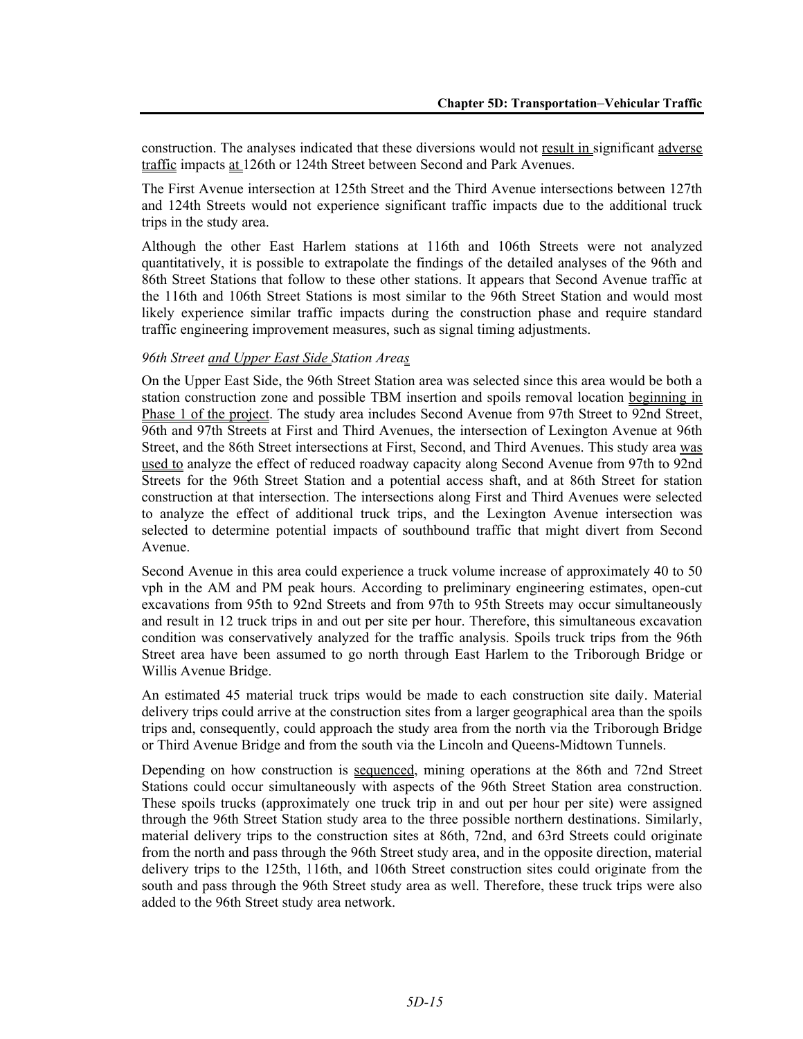construction. The analyses indicated that these diversions would not result in significant adverse traffic impacts at 126th or 124th Street between Second and Park Avenues.

The First Avenue intersection at 125th Street and the Third Avenue intersections between 127th and 124th Streets would not experience significant traffic impacts due to the additional truck trips in the study area.

Although the other East Harlem stations at 116th and 106th Streets were not analyzed quantitatively, it is possible to extrapolate the findings of the detailed analyses of the 96th and 86th Street Stations that follow to these other stations. It appears that Second Avenue traffic at the 116th and 106th Street Stations is most similar to the 96th Street Station and would most likely experience similar traffic impacts during the construction phase and require standard traffic engineering improvement measures, such as signal timing adjustments.

#### *96th Street and Upper East Side Station Areas*

On the Upper East Side, the 96th Street Station area was selected since this area would be both a station construction zone and possible TBM insertion and spoils removal location beginning in Phase 1 of the project. The study area includes Second Avenue from 97th Street to 92nd Street, 96th and 97th Streets at First and Third Avenues, the intersection of Lexington Avenue at 96th Street, and the 86th Street intersections at First, Second, and Third Avenues. This study area was used to analyze the effect of reduced roadway capacity along Second Avenue from 97th to  $\overline{92nd}$ Streets for the 96th Street Station and a potential access shaft, and at 86th Street for station construction at that intersection. The intersections along First and Third Avenues were selected to analyze the effect of additional truck trips, and the Lexington Avenue intersection was selected to determine potential impacts of southbound traffic that might divert from Second Avenue.

Second Avenue in this area could experience a truck volume increase of approximately 40 to 50 vph in the AM and PM peak hours. According to preliminary engineering estimates, open-cut excavations from 95th to 92nd Streets and from 97th to 95th Streets may occur simultaneously and result in 12 truck trips in and out per site per hour. Therefore, this simultaneous excavation condition was conservatively analyzed for the traffic analysis. Spoils truck trips from the 96th Street area have been assumed to go north through East Harlem to the Triborough Bridge or Willis Avenue Bridge.

An estimated 45 material truck trips would be made to each construction site daily. Material delivery trips could arrive at the construction sites from a larger geographical area than the spoils trips and, consequently, could approach the study area from the north via the Triborough Bridge or Third Avenue Bridge and from the south via the Lincoln and Queens-Midtown Tunnels.

Depending on how construction is sequenced, mining operations at the 86th and 72nd Street Stations could occur simultaneously with aspects of the 96th Street Station area construction. These spoils trucks (approximately one truck trip in and out per hour per site) were assigned through the 96th Street Station study area to the three possible northern destinations. Similarly, material delivery trips to the construction sites at 86th, 72nd, and 63rd Streets could originate from the north and pass through the 96th Street study area, and in the opposite direction, material delivery trips to the 125th, 116th, and 106th Street construction sites could originate from the south and pass through the 96th Street study area as well. Therefore, these truck trips were also added to the 96th Street study area network.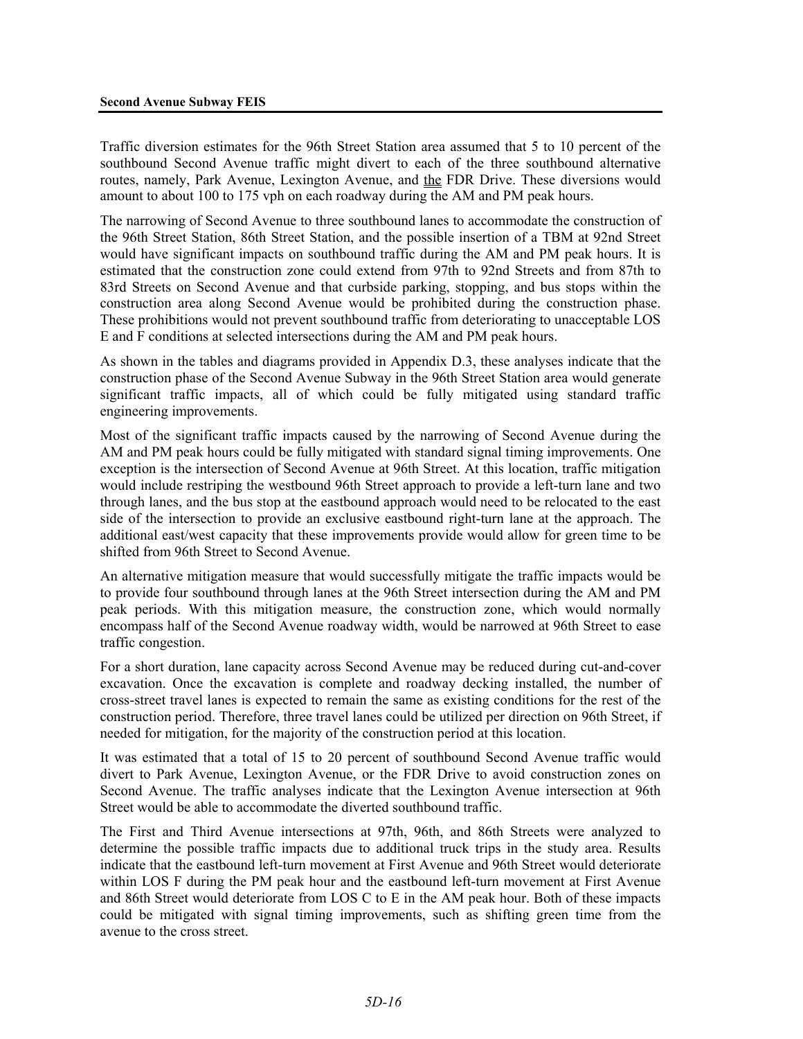Traffic diversion estimates for the 96th Street Station area assumed that 5 to 10 percent of the southbound Second Avenue traffic might divert to each of the three southbound alternative routes, namely, Park Avenue, Lexington Avenue, and the FDR Drive. These diversions would amount to about 100 to 175 vph on each roadway during the AM and PM peak hours.

The narrowing of Second Avenue to three southbound lanes to accommodate the construction of the 96th Street Station, 86th Street Station, and the possible insertion of a TBM at 92nd Street would have significant impacts on southbound traffic during the AM and PM peak hours. It is estimated that the construction zone could extend from 97th to 92nd Streets and from 87th to 83rd Streets on Second Avenue and that curbside parking, stopping, and bus stops within the construction area along Second Avenue would be prohibited during the construction phase. These prohibitions would not prevent southbound traffic from deteriorating to unacceptable LOS E and F conditions at selected intersections during the AM and PM peak hours.

As shown in the tables and diagrams provided in Appendix D.3, these analyses indicate that the construction phase of the Second Avenue Subway in the 96th Street Station area would generate significant traffic impacts, all of which could be fully mitigated using standard traffic engineering improvements.

Most of the significant traffic impacts caused by the narrowing of Second Avenue during the AM and PM peak hours could be fully mitigated with standard signal timing improvements. One exception is the intersection of Second Avenue at 96th Street. At this location, traffic mitigation would include restriping the westbound 96th Street approach to provide a left-turn lane and two through lanes, and the bus stop at the eastbound approach would need to be relocated to the east side of the intersection to provide an exclusive eastbound right-turn lane at the approach. The additional east/west capacity that these improvements provide would allow for green time to be shifted from 96th Street to Second Avenue.

An alternative mitigation measure that would successfully mitigate the traffic impacts would be to provide four southbound through lanes at the 96th Street intersection during the AM and PM peak periods. With this mitigation measure, the construction zone, which would normally encompass half of the Second Avenue roadway width, would be narrowed at 96th Street to ease traffic congestion.

For a short duration, lane capacity across Second Avenue may be reduced during cut-and-cover excavation. Once the excavation is complete and roadway decking installed, the number of cross-street travel lanes is expected to remain the same as existing conditions for the rest of the construction period. Therefore, three travel lanes could be utilized per direction on 96th Street, if needed for mitigation, for the majority of the construction period at this location.

It was estimated that a total of 15 to 20 percent of southbound Second Avenue traffic would divert to Park Avenue, Lexington Avenue, or the FDR Drive to avoid construction zones on Second Avenue. The traffic analyses indicate that the Lexington Avenue intersection at 96th Street would be able to accommodate the diverted southbound traffic.

The First and Third Avenue intersections at 97th, 96th, and 86th Streets were analyzed to determine the possible traffic impacts due to additional truck trips in the study area. Results indicate that the eastbound left-turn movement at First Avenue and 96th Street would deteriorate within LOS F during the PM peak hour and the eastbound left-turn movement at First Avenue and 86th Street would deteriorate from LOS C to E in the AM peak hour. Both of these impacts could be mitigated with signal timing improvements, such as shifting green time from the avenue to the cross street.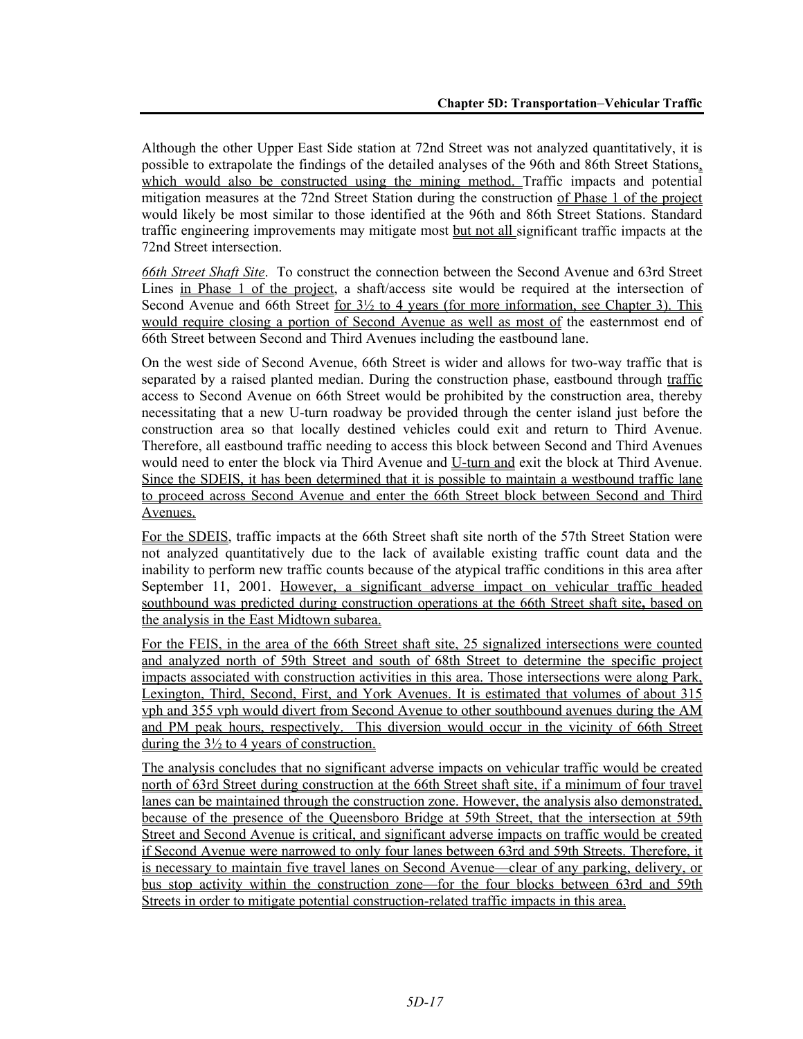Although the other Upper East Side station at 72nd Street was not analyzed quantitatively, it is possible to extrapolate the findings of the detailed analyses of the 96th and 86th Street Stations, which would also be constructed using the mining method. Traffic impacts and potential mitigation measures at the 72nd Street Station during the construction of Phase 1 of the project would likely be most similar to those identified at the 96th and 86th Street Stations. Standard traffic engineering improvements may mitigate most but not all significant traffic impacts at the 72nd Street intersection.

*66th Street Shaft Site*. To construct the connection between the Second Avenue and 63rd Street Lines in Phase 1 of the project, a shaft/access site would be required at the intersection of Second Avenue and 66th Street for  $3\frac{1}{2}$  to 4 years (for more information, see Chapter 3). This would require closing a portion of Second Avenue as well as most of the easternmost end of 66th Street between Second and Third Avenues including the eastbound lane.

On the west side of Second Avenue, 66th Street is wider and allows for two-way traffic that is separated by a raised planted median. During the construction phase, eastbound through traffic access to Second Avenue on 66th Street would be prohibited by the construction area, thereby necessitating that a new U-turn roadway be provided through the center island just before the construction area so that locally destined vehicles could exit and return to Third Avenue. Therefore, all eastbound traffic needing to access this block between Second and Third Avenues would need to enter the block via Third Avenue and U-turn and exit the block at Third Avenue. Since the SDEIS, it has been determined that it is possible to maintain a westbound traffic lane to proceed across Second Avenue and enter the 66th Street block between Second and Third Avenues.

For the SDEIS, traffic impacts at the 66th Street shaft site north of the 57th Street Station were not analyzed quantitatively due to the lack of available existing traffic count data and the inability to perform new traffic counts because of the atypical traffic conditions in this area after September 11, 2001. However, a significant adverse impact on vehicular traffic headed southbound was predicted during construction operations at the 66th Street shaft site**,** based on the analysis in the East Midtown subarea.

For the FEIS, in the area of the 66th Street shaft site, 25 signalized intersections were counted and analyzed north of 59th Street and south of 68th Street to determine the specific project impacts associated with construction activities in this area. Those intersections were along Park, Lexington, Third, Second, First, and York Avenues. It is estimated that volumes of about 315 vph and 355 vph would divert from Second Avenue to other southbound avenues during the AM and PM peak hours, respectively. This diversion would occur in the vicinity of 66th Street during the  $3\frac{1}{2}$  to 4 years of construction.

The analysis concludes that no significant adverse impacts on vehicular traffic would be created north of 63rd Street during construction at the 66th Street shaft site, if a minimum of four travel lanes can be maintained through the construction zone. However, the analysis also demonstrated, because of the presence of the Queensboro Bridge at 59th Street, that the intersection at 59th Street and Second Avenue is critical, and significant adverse impacts on traffic would be created if Second Avenue were narrowed to only four lanes between 63rd and 59th Streets. Therefore, it is necessary to maintain five travel lanes on Second Avenue—clear of any parking, delivery, or bus stop activity within the construction zone—for the four blocks between 63rd and 59th Streets in order to mitigate potential construction-related traffic impacts in this area.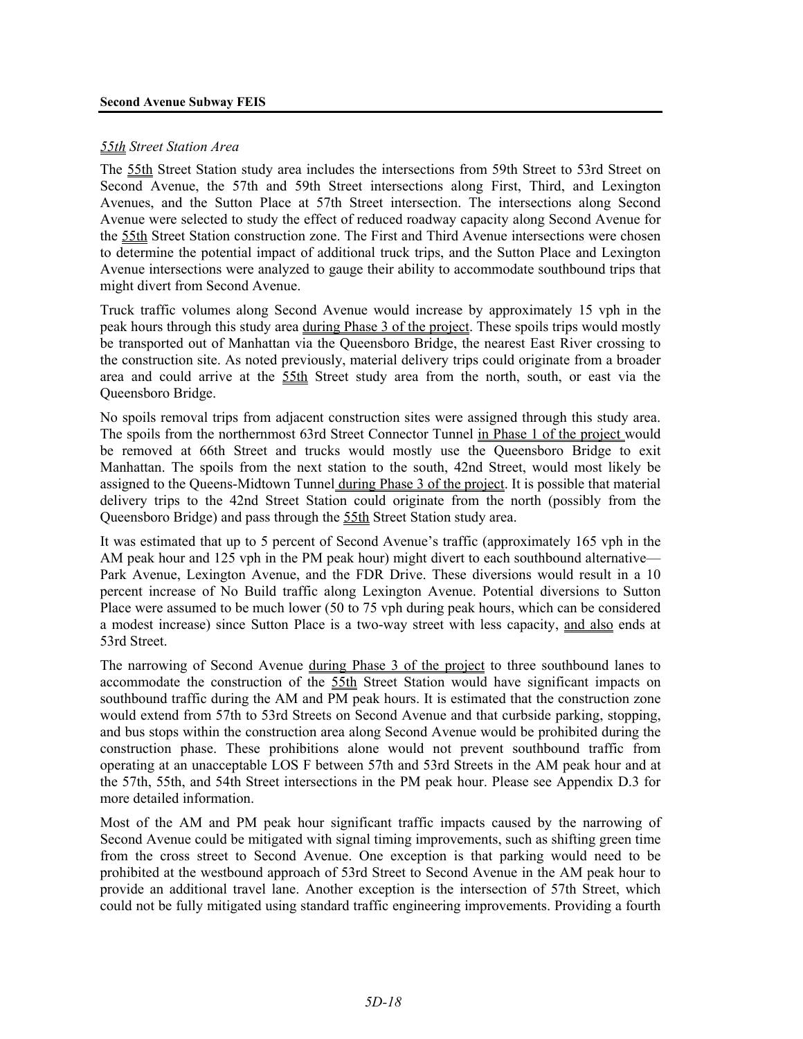#### **Second Avenue Subway FEIS**

#### *55th Street Station Area*

The 55th Street Station study area includes the intersections from 59th Street to 53rd Street on Second Avenue, the 57th and 59th Street intersections along First, Third, and Lexington Avenues, and the Sutton Place at 57th Street intersection. The intersections along Second Avenue were selected to study the effect of reduced roadway capacity along Second Avenue for the 55th Street Station construction zone. The First and Third Avenue intersections were chosen to determine the potential impact of additional truck trips, and the Sutton Place and Lexington Avenue intersections were analyzed to gauge their ability to accommodate southbound trips that might divert from Second Avenue.

Truck traffic volumes along Second Avenue would increase by approximately 15 vph in the peak hours through this study area during Phase 3 of the project. These spoils trips would mostly be transported out of Manhattan via the Queensboro Bridge, the nearest East River crossing to the construction site. As noted previously, material delivery trips could originate from a broader area and could arrive at the 55th Street study area from the north, south, or east via the Queensboro Bridge.

No spoils removal trips from adjacent construction sites were assigned through this study area. The spoils from the northernmost 63rd Street Connector Tunnel in Phase 1 of the project would be removed at 66th Street and trucks would mostly use the Queensboro Bridge to exit Manhattan. The spoils from the next station to the south, 42nd Street, would most likely be assigned to the Queens-Midtown Tunnel during Phase 3 of the project. It is possible that material delivery trips to the 42nd Street Station could originate from the north (possibly from the Queensboro Bridge) and pass through the 55th Street Station study area.

It was estimated that up to 5 percent of Second Avenue's traffic (approximately 165 vph in the AM peak hour and 125 vph in the PM peak hour) might divert to each southbound alternative— Park Avenue, Lexington Avenue, and the FDR Drive. These diversions would result in a 10 percent increase of No Build traffic along Lexington Avenue. Potential diversions to Sutton Place were assumed to be much lower (50 to 75 vph during peak hours, which can be considered a modest increase) since Sutton Place is a two-way street with less capacity, and also ends at 53rd Street.

The narrowing of Second Avenue during Phase 3 of the project to three southbound lanes to accommodate the construction of the 55th Street Station would have significant impacts on southbound traffic during the AM and PM peak hours. It is estimated that the construction zone would extend from 57th to 53rd Streets on Second Avenue and that curbside parking, stopping, and bus stops within the construction area along Second Avenue would be prohibited during the construction phase. These prohibitions alone would not prevent southbound traffic from operating at an unacceptable LOS F between 57th and 53rd Streets in the AM peak hour and at the 57th, 55th, and 54th Street intersections in the PM peak hour. Please see Appendix D.3 for more detailed information.

Most of the AM and PM peak hour significant traffic impacts caused by the narrowing of Second Avenue could be mitigated with signal timing improvements, such as shifting green time from the cross street to Second Avenue. One exception is that parking would need to be prohibited at the westbound approach of 53rd Street to Second Avenue in the AM peak hour to provide an additional travel lane. Another exception is the intersection of 57th Street, which could not be fully mitigated using standard traffic engineering improvements. Providing a fourth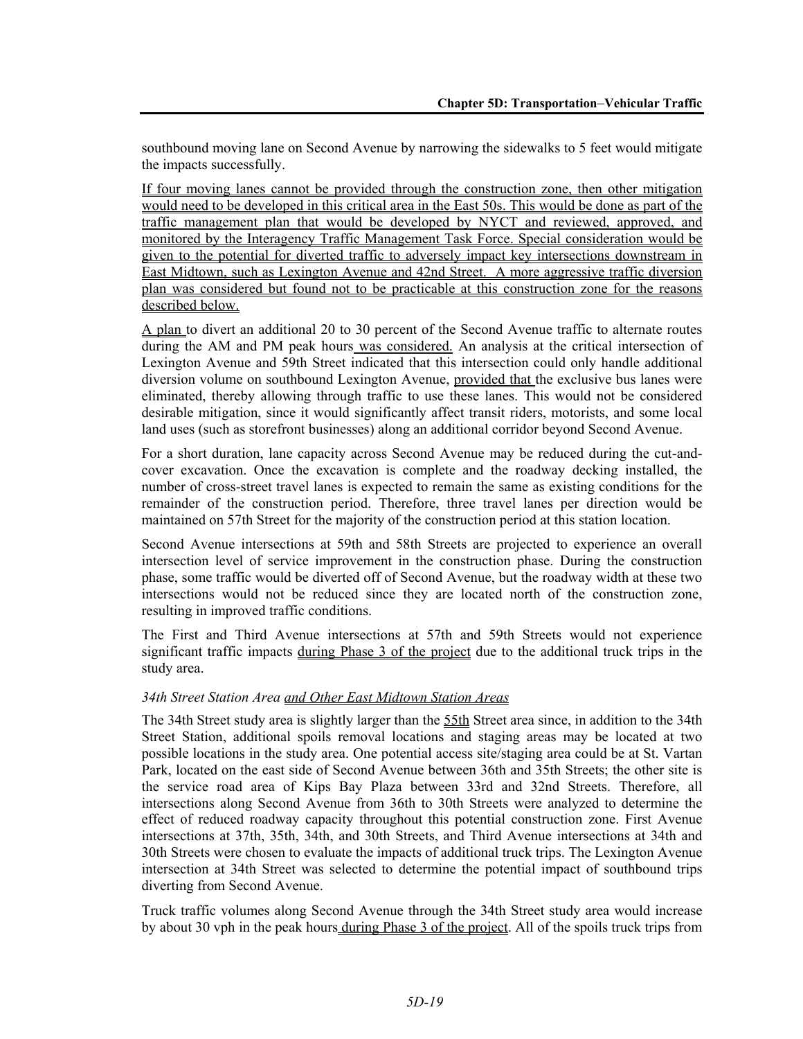southbound moving lane on Second Avenue by narrowing the sidewalks to 5 feet would mitigate the impacts successfully.

If four moving lanes cannot be provided through the construction zone, then other mitigation would need to be developed in this critical area in the East 50s. This would be done as part of the traffic management plan that would be developed by NYCT and reviewed, approved, and monitored by the Interagency Traffic Management Task Force. Special consideration would be given to the potential for diverted traffic to adversely impact key intersections downstream in East Midtown, such as Lexington Avenue and 42nd Street. A more aggressive traffic diversion plan was considered but found not to be practicable at this construction zone for the reasons described below.

A plan to divert an additional 20 to 30 percent of the Second Avenue traffic to alternate routes during the AM and PM peak hours was considered. An analysis at the critical intersection of Lexington Avenue and 59th Street indicated that this intersection could only handle additional diversion volume on southbound Lexington Avenue, provided that the exclusive bus lanes were eliminated, thereby allowing through traffic to use these lanes. This would not be considered desirable mitigation, since it would significantly affect transit riders, motorists, and some local land uses (such as storefront businesses) along an additional corridor beyond Second Avenue.

For a short duration, lane capacity across Second Avenue may be reduced during the cut-andcover excavation. Once the excavation is complete and the roadway decking installed, the number of cross-street travel lanes is expected to remain the same as existing conditions for the remainder of the construction period. Therefore, three travel lanes per direction would be maintained on 57th Street for the majority of the construction period at this station location.

Second Avenue intersections at 59th and 58th Streets are projected to experience an overall intersection level of service improvement in the construction phase. During the construction phase, some traffic would be diverted off of Second Avenue, but the roadway width at these two intersections would not be reduced since they are located north of the construction zone, resulting in improved traffic conditions.

The First and Third Avenue intersections at 57th and 59th Streets would not experience significant traffic impacts during Phase 3 of the project due to the additional truck trips in the study area.

#### *34th Street Station Area and Other East Midtown Station Areas*

The 34th Street study area is slightly larger than the  $55th$  Street area since, in addition to the 34th Street Station, additional spoils removal locations and staging areas may be located at two possible locations in the study area. One potential access site/staging area could be at St. Vartan Park, located on the east side of Second Avenue between 36th and 35th Streets; the other site is the service road area of Kips Bay Plaza between 33rd and 32nd Streets. Therefore, all intersections along Second Avenue from 36th to 30th Streets were analyzed to determine the effect of reduced roadway capacity throughout this potential construction zone. First Avenue intersections at 37th, 35th, 34th, and 30th Streets, and Third Avenue intersections at 34th and 30th Streets were chosen to evaluate the impacts of additional truck trips. The Lexington Avenue intersection at 34th Street was selected to determine the potential impact of southbound trips diverting from Second Avenue.

Truck traffic volumes along Second Avenue through the 34th Street study area would increase by about 30 vph in the peak hours during Phase 3 of the project. All of the spoils truck trips from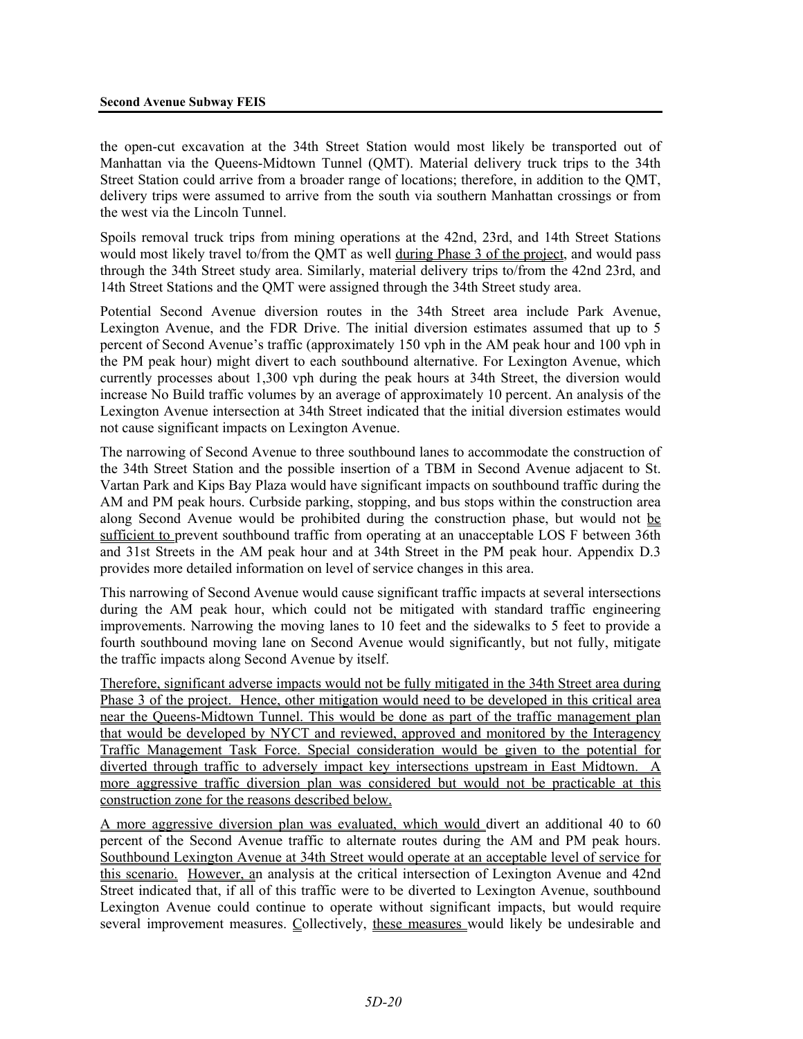the open-cut excavation at the 34th Street Station would most likely be transported out of Manhattan via the Queens-Midtown Tunnel (QMT). Material delivery truck trips to the 34th Street Station could arrive from a broader range of locations; therefore, in addition to the QMT, delivery trips were assumed to arrive from the south via southern Manhattan crossings or from the west via the Lincoln Tunnel.

Spoils removal truck trips from mining operations at the 42nd, 23rd, and 14th Street Stations would most likely travel to/from the QMT as well during Phase 3 of the project, and would pass through the 34th Street study area. Similarly, material delivery trips to/from the 42nd 23rd, and 14th Street Stations and the QMT were assigned through the 34th Street study area.

Potential Second Avenue diversion routes in the 34th Street area include Park Avenue, Lexington Avenue, and the FDR Drive. The initial diversion estimates assumed that up to 5 percent of Second Avenue's traffic (approximately 150 vph in the AM peak hour and 100 vph in the PM peak hour) might divert to each southbound alternative. For Lexington Avenue, which currently processes about 1,300 vph during the peak hours at 34th Street, the diversion would increase No Build traffic volumes by an average of approximately 10 percent. An analysis of the Lexington Avenue intersection at 34th Street indicated that the initial diversion estimates would not cause significant impacts on Lexington Avenue.

The narrowing of Second Avenue to three southbound lanes to accommodate the construction of the 34th Street Station and the possible insertion of a TBM in Second Avenue adjacent to St. Vartan Park and Kips Bay Plaza would have significant impacts on southbound traffic during the AM and PM peak hours. Curbside parking, stopping, and bus stops within the construction area along Second Avenue would be prohibited during the construction phase, but would not be sufficient to prevent southbound traffic from operating at an unacceptable LOS F between 36th and 31st Streets in the AM peak hour and at 34th Street in the PM peak hour. Appendix D.3 provides more detailed information on level of service changes in this area.

This narrowing of Second Avenue would cause significant traffic impacts at several intersections during the AM peak hour, which could not be mitigated with standard traffic engineering improvements. Narrowing the moving lanes to 10 feet and the sidewalks to 5 feet to provide a fourth southbound moving lane on Second Avenue would significantly, but not fully, mitigate the traffic impacts along Second Avenue by itself.

Therefore, significant adverse impacts would not be fully mitigated in the 34th Street area during Phase 3 of the project. Hence, other mitigation would need to be developed in this critical area near the Queens-Midtown Tunnel. This would be done as part of the traffic management plan that would be developed by NYCT and reviewed, approved and monitored by the Interagency Traffic Management Task Force. Special consideration would be given to the potential for diverted through traffic to adversely impact key intersections upstream in East Midtown. A more aggressive traffic diversion plan was considered but would not be practicable at this construction zone for the reasons described below.

A more aggressive diversion plan was evaluated, which would divert an additional 40 to 60 percent of the Second Avenue traffic to alternate routes during the AM and PM peak hours. Southbound Lexington Avenue at 34th Street would operate at an acceptable level of service for this scenario. However, an analysis at the critical intersection of Lexington Avenue and 42nd Street indicated that, if all of this traffic were to be diverted to Lexington Avenue, southbound Lexington Avenue could continue to operate without significant impacts, but would require several improvement measures. Collectively, these measures would likely be undesirable and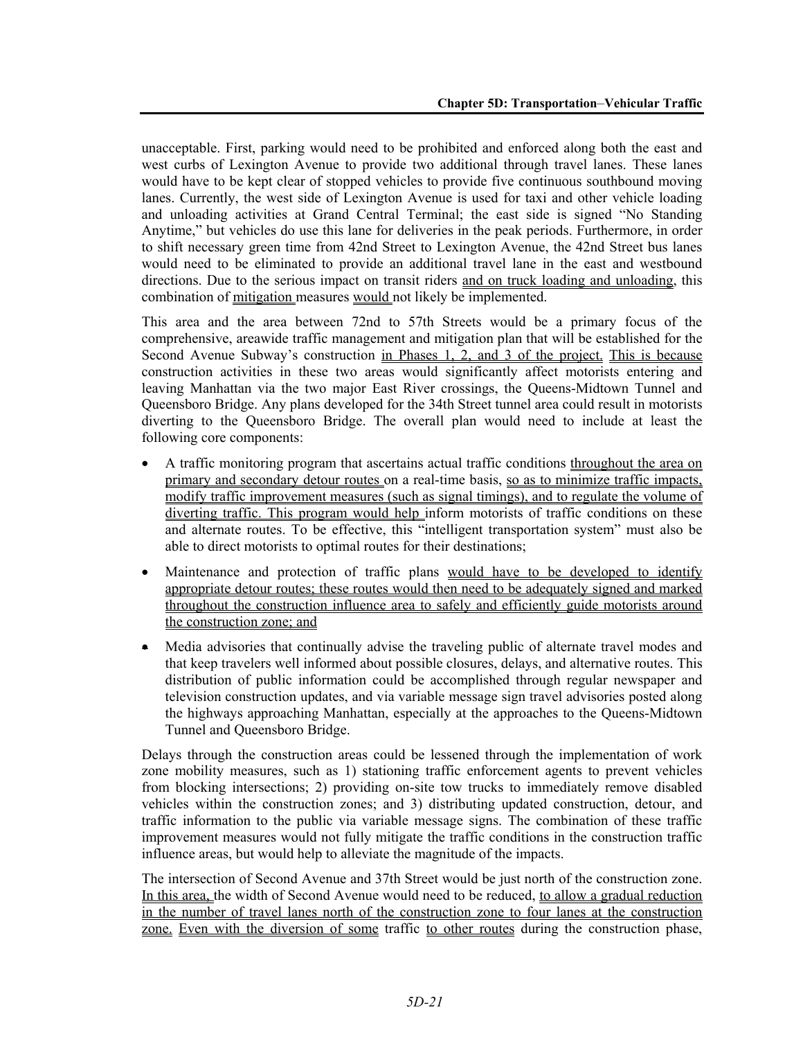unacceptable. First, parking would need to be prohibited and enforced along both the east and west curbs of Lexington Avenue to provide two additional through travel lanes. These lanes would have to be kept clear of stopped vehicles to provide five continuous southbound moving lanes. Currently, the west side of Lexington Avenue is used for taxi and other vehicle loading and unloading activities at Grand Central Terminal; the east side is signed "No Standing Anytime," but vehicles do use this lane for deliveries in the peak periods. Furthermore, in order to shift necessary green time from 42nd Street to Lexington Avenue, the 42nd Street bus lanes would need to be eliminated to provide an additional travel lane in the east and westbound directions. Due to the serious impact on transit riders and on truck loading and unloading, this combination of mitigation measures would not likely be implemented.

This area and the area between 72nd to 57th Streets would be a primary focus of the comprehensive, areawide traffic management and mitigation plan that will be established for the Second Avenue Subway's construction in Phases 1, 2, and 3 of the project. This is because construction activities in these two areas would significantly affect motorists entering and leaving Manhattan via the two major East River crossings, the Queens-Midtown Tunnel and Queensboro Bridge. Any plans developed for the 34th Street tunnel area could result in motorists diverting to the Queensboro Bridge. The overall plan would need to include at least the following core components:

- A traffic monitoring program that ascertains actual traffic conditions throughout the area on primary and secondary detour routes on a real-time basis, so as to minimize traffic impacts, modify traffic improvement measures (such as signal timings), and to regulate the volume of diverting traffic. This program would help inform motorists of traffic conditions on these and alternate routes. To be effective, this "intelligent transportation system" must also be able to direct motorists to optimal routes for their destinations;
- Maintenance and protection of traffic plans would have to be developed to identify appropriate detour routes; these routes would then need to be adequately signed and marked throughout the construction influence area to safely and efficiently guide motorists around the construction zone; and
- Media advisories that continually advise the traveling public of alternate travel modes and that keep travelers well informed about possible closures, delays, and alternative routes. This distribution of public information could be accomplished through regular newspaper and television construction updates, and via variable message sign travel advisories posted along the highways approaching Manhattan, especially at the approaches to the Queens-Midtown Tunnel and Queensboro Bridge.

Delays through the construction areas could be lessened through the implementation of work zone mobility measures, such as 1) stationing traffic enforcement agents to prevent vehicles from blocking intersections; 2) providing on-site tow trucks to immediately remove disabled vehicles within the construction zones; and 3) distributing updated construction, detour, and traffic information to the public via variable message signs. The combination of these traffic improvement measures would not fully mitigate the traffic conditions in the construction traffic influence areas, but would help to alleviate the magnitude of the impacts.

The intersection of Second Avenue and 37th Street would be just north of the construction zone. In this area, the width of Second Avenue would need to be reduced, to allow a gradual reduction in the number of travel lanes north of the construction zone to four lanes at the construction zone. Even with the diversion of some traffic to other routes during the construction phase,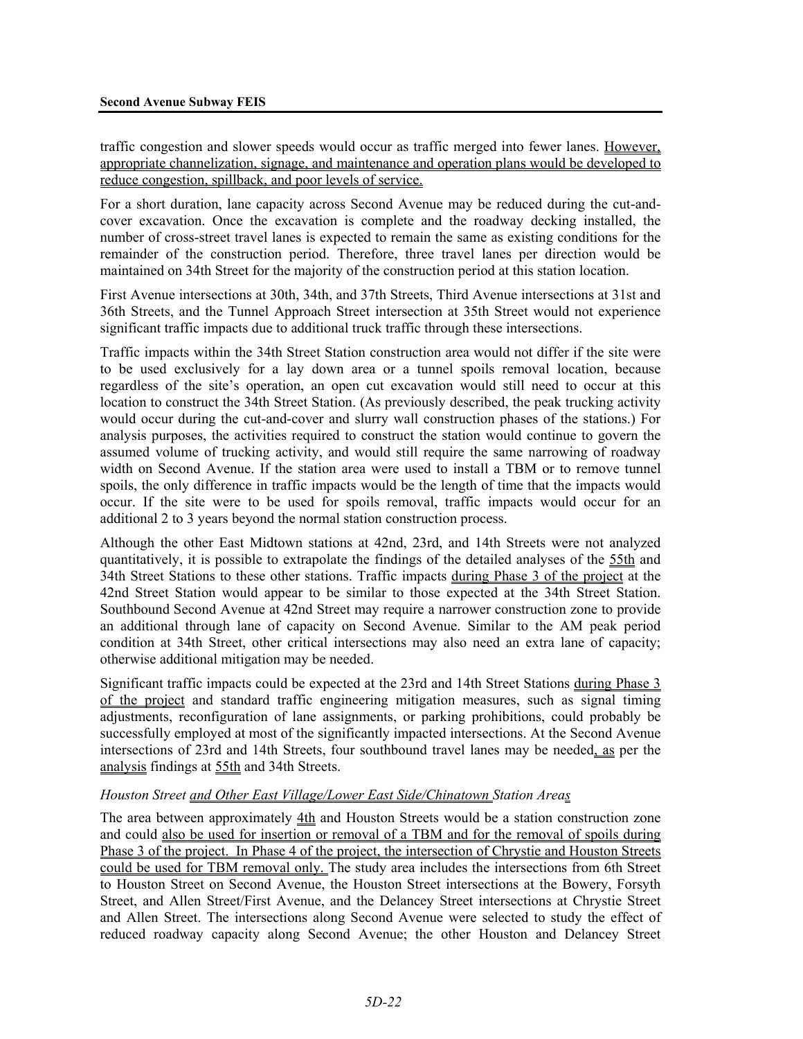traffic congestion and slower speeds would occur as traffic merged into fewer lanes. However, appropriate channelization, signage, and maintenance and operation plans would be developed to reduce congestion, spillback, and poor levels of service.

For a short duration, lane capacity across Second Avenue may be reduced during the cut-andcover excavation. Once the excavation is complete and the roadway decking installed, the number of cross-street travel lanes is expected to remain the same as existing conditions for the remainder of the construction period. Therefore, three travel lanes per direction would be maintained on 34th Street for the majority of the construction period at this station location.

First Avenue intersections at 30th, 34th, and 37th Streets, Third Avenue intersections at 31st and 36th Streets, and the Tunnel Approach Street intersection at 35th Street would not experience significant traffic impacts due to additional truck traffic through these intersections.

Traffic impacts within the 34th Street Station construction area would not differ if the site were to be used exclusively for a lay down area or a tunnel spoils removal location, because regardless of the site's operation, an open cut excavation would still need to occur at this location to construct the 34th Street Station. (As previously described, the peak trucking activity would occur during the cut-and-cover and slurry wall construction phases of the stations.) For analysis purposes, the activities required to construct the station would continue to govern the assumed volume of trucking activity, and would still require the same narrowing of roadway width on Second Avenue. If the station area were used to install a TBM or to remove tunnel spoils, the only difference in traffic impacts would be the length of time that the impacts would occur. If the site were to be used for spoils removal, traffic impacts would occur for an additional 2 to 3 years beyond the normal station construction process.

Although the other East Midtown stations at 42nd, 23rd, and 14th Streets were not analyzed quantitatively, it is possible to extrapolate the findings of the detailed analyses of the 55th and 34th Street Stations to these other stations. Traffic impacts during Phase 3 of the project at the 42nd Street Station would appear to be similar to those expected at the 34th Street Station. Southbound Second Avenue at 42nd Street may require a narrower construction zone to provide an additional through lane of capacity on Second Avenue. Similar to the AM peak period condition at 34th Street, other critical intersections may also need an extra lane of capacity; otherwise additional mitigation may be needed.

Significant traffic impacts could be expected at the 23rd and 14th Street Stations during Phase 3 of the project and standard traffic engineering mitigation measures, such as signal timing adjustments, reconfiguration of lane assignments, or parking prohibitions, could probably be successfully employed at most of the significantly impacted intersections. At the Second Avenue intersections of 23rd and 14th Streets, four southbound travel lanes may be needed, as per the analysis findings at 55th and 34th Streets.

#### *Houston Street and Other East Village/Lower East Side/Chinatown Station Areas*

The area between approximately  $4th$  and Houston Streets would be a station construction zone and could also be used for insertion or removal of a TBM and for the removal of spoils during Phase 3 of the project. In Phase 4 of the project, the intersection of Chrystie and Houston Streets could be used for TBM removal only. The study area includes the intersections from 6th Street to Houston Street on Second Avenue, the Houston Street intersections at the Bowery, Forsyth Street, and Allen Street/First Avenue, and the Delancey Street intersections at Chrystie Street and Allen Street. The intersections along Second Avenue were selected to study the effect of reduced roadway capacity along Second Avenue; the other Houston and Delancey Street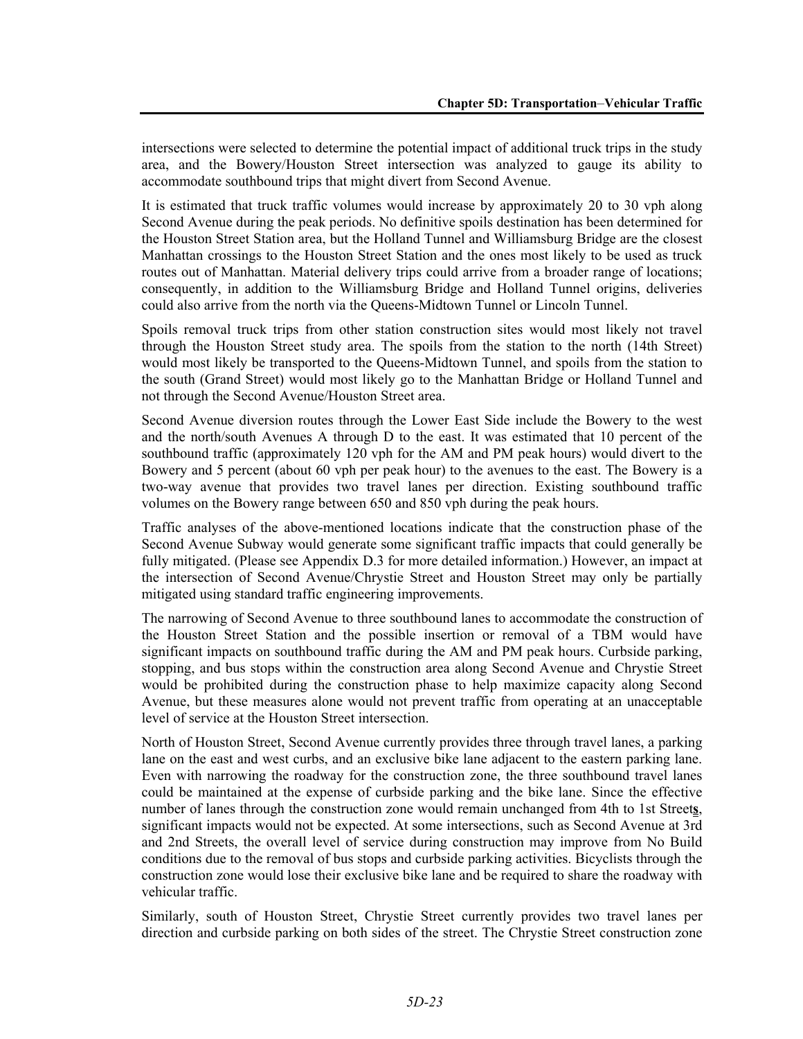intersections were selected to determine the potential impact of additional truck trips in the study area, and the Bowery/Houston Street intersection was analyzed to gauge its ability to accommodate southbound trips that might divert from Second Avenue.

It is estimated that truck traffic volumes would increase by approximately 20 to 30 vph along Second Avenue during the peak periods. No definitive spoils destination has been determined for the Houston Street Station area, but the Holland Tunnel and Williamsburg Bridge are the closest Manhattan crossings to the Houston Street Station and the ones most likely to be used as truck routes out of Manhattan. Material delivery trips could arrive from a broader range of locations; consequently, in addition to the Williamsburg Bridge and Holland Tunnel origins, deliveries could also arrive from the north via the Queens-Midtown Tunnel or Lincoln Tunnel.

Spoils removal truck trips from other station construction sites would most likely not travel through the Houston Street study area. The spoils from the station to the north (14th Street) would most likely be transported to the Queens-Midtown Tunnel, and spoils from the station to the south (Grand Street) would most likely go to the Manhattan Bridge or Holland Tunnel and not through the Second Avenue/Houston Street area.

Second Avenue diversion routes through the Lower East Side include the Bowery to the west and the north/south Avenues A through D to the east. It was estimated that 10 percent of the southbound traffic (approximately 120 vph for the AM and PM peak hours) would divert to the Bowery and 5 percent (about 60 vph per peak hour) to the avenues to the east. The Bowery is a two-way avenue that provides two travel lanes per direction. Existing southbound traffic volumes on the Bowery range between 650 and 850 vph during the peak hours.

Traffic analyses of the above-mentioned locations indicate that the construction phase of the Second Avenue Subway would generate some significant traffic impacts that could generally be fully mitigated. (Please see Appendix D.3 for more detailed information.) However, an impact at the intersection of Second Avenue/Chrystie Street and Houston Street may only be partially mitigated using standard traffic engineering improvements.

The narrowing of Second Avenue to three southbound lanes to accommodate the construction of the Houston Street Station and the possible insertion or removal of a TBM would have significant impacts on southbound traffic during the AM and PM peak hours. Curbside parking, stopping, and bus stops within the construction area along Second Avenue and Chrystie Street would be prohibited during the construction phase to help maximize capacity along Second Avenue, but these measures alone would not prevent traffic from operating at an unacceptable level of service at the Houston Street intersection.

North of Houston Street, Second Avenue currently provides three through travel lanes, a parking lane on the east and west curbs, and an exclusive bike lane adjacent to the eastern parking lane. Even with narrowing the roadway for the construction zone, the three southbound travel lanes could be maintained at the expense of curbside parking and the bike lane. Since the effective number of lanes through the construction zone would remain unchanged from 4th to 1st Street**s**, significant impacts would not be expected. At some intersections, such as Second Avenue at 3rd and 2nd Streets, the overall level of service during construction may improve from No Build conditions due to the removal of bus stops and curbside parking activities. Bicyclists through the construction zone would lose their exclusive bike lane and be required to share the roadway with vehicular traffic.

Similarly, south of Houston Street, Chrystie Street currently provides two travel lanes per direction and curbside parking on both sides of the street. The Chrystie Street construction zone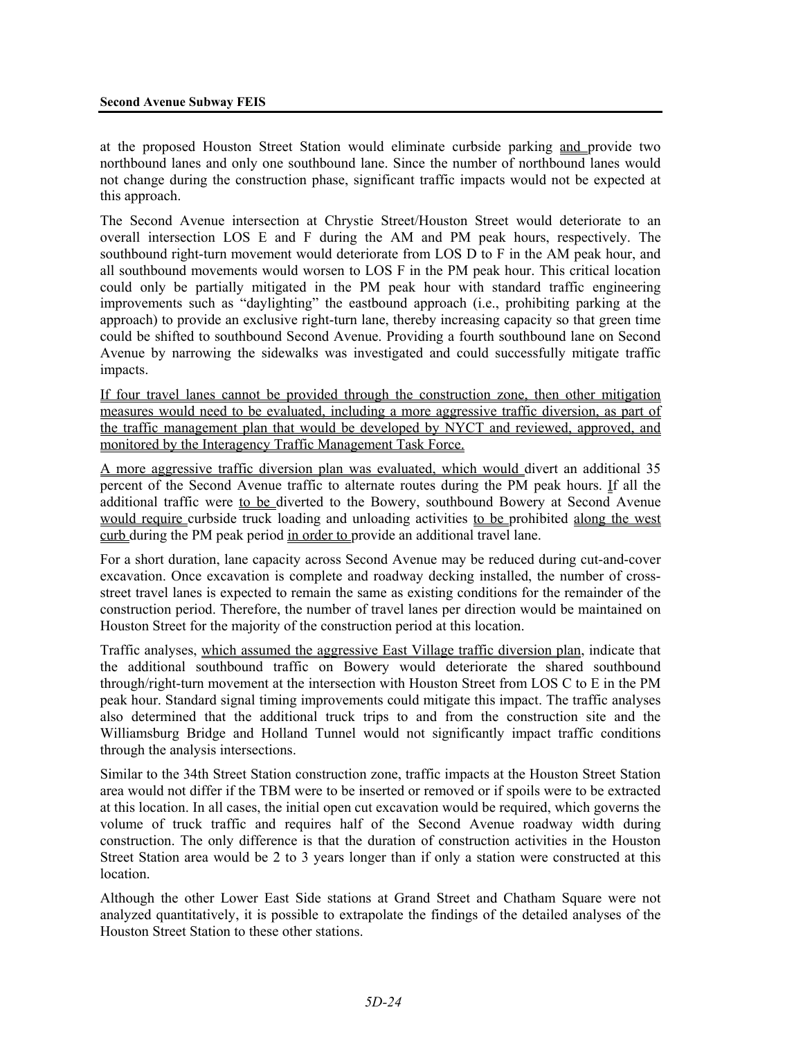at the proposed Houston Street Station would eliminate curbside parking and provide two northbound lanes and only one southbound lane. Since the number of northbound lanes would not change during the construction phase, significant traffic impacts would not be expected at this approach.

The Second Avenue intersection at Chrystie Street/Houston Street would deteriorate to an overall intersection LOS E and F during the AM and PM peak hours, respectively. The southbound right-turn movement would deteriorate from LOS D to F in the AM peak hour, and all southbound movements would worsen to LOS F in the PM peak hour. This critical location could only be partially mitigated in the PM peak hour with standard traffic engineering improvements such as "daylighting" the eastbound approach (i.e., prohibiting parking at the approach) to provide an exclusive right-turn lane, thereby increasing capacity so that green time could be shifted to southbound Second Avenue. Providing a fourth southbound lane on Second Avenue by narrowing the sidewalks was investigated and could successfully mitigate traffic impacts.

If four travel lanes cannot be provided through the construction zone, then other mitigation measures would need to be evaluated, including a more aggressive traffic diversion, as part of the traffic management plan that would be developed by NYCT and reviewed, approved, and monitored by the Interagency Traffic Management Task Force.

A more aggressive traffic diversion plan was evaluated, which would divert an additional 35 percent of the Second Avenue traffic to alternate routes during the PM peak hours. If all the additional traffic were to be diverted to the Bowery, southbound Bowery at Second Avenue would require curbside truck loading and unloading activities to be prohibited along the west curb during the PM peak period in order to provide an additional travel lane.

For a short duration, lane capacity across Second Avenue may be reduced during cut-and-cover excavation. Once excavation is complete and roadway decking installed, the number of crossstreet travel lanes is expected to remain the same as existing conditions for the remainder of the construction period. Therefore, the number of travel lanes per direction would be maintained on Houston Street for the majority of the construction period at this location.

Traffic analyses, which assumed the aggressive East Village traffic diversion plan, indicate that the additional southbound traffic on Bowery would deteriorate the shared southbound through/right-turn movement at the intersection with Houston Street from LOS C to E in the PM peak hour. Standard signal timing improvements could mitigate this impact. The traffic analyses also determined that the additional truck trips to and from the construction site and the Williamsburg Bridge and Holland Tunnel would not significantly impact traffic conditions through the analysis intersections.

Similar to the 34th Street Station construction zone, traffic impacts at the Houston Street Station area would not differ if the TBM were to be inserted or removed or if spoils were to be extracted at this location. In all cases, the initial open cut excavation would be required, which governs the volume of truck traffic and requires half of the Second Avenue roadway width during construction. The only difference is that the duration of construction activities in the Houston Street Station area would be 2 to 3 years longer than if only a station were constructed at this location.

Although the other Lower East Side stations at Grand Street and Chatham Square were not analyzed quantitatively, it is possible to extrapolate the findings of the detailed analyses of the Houston Street Station to these other stations.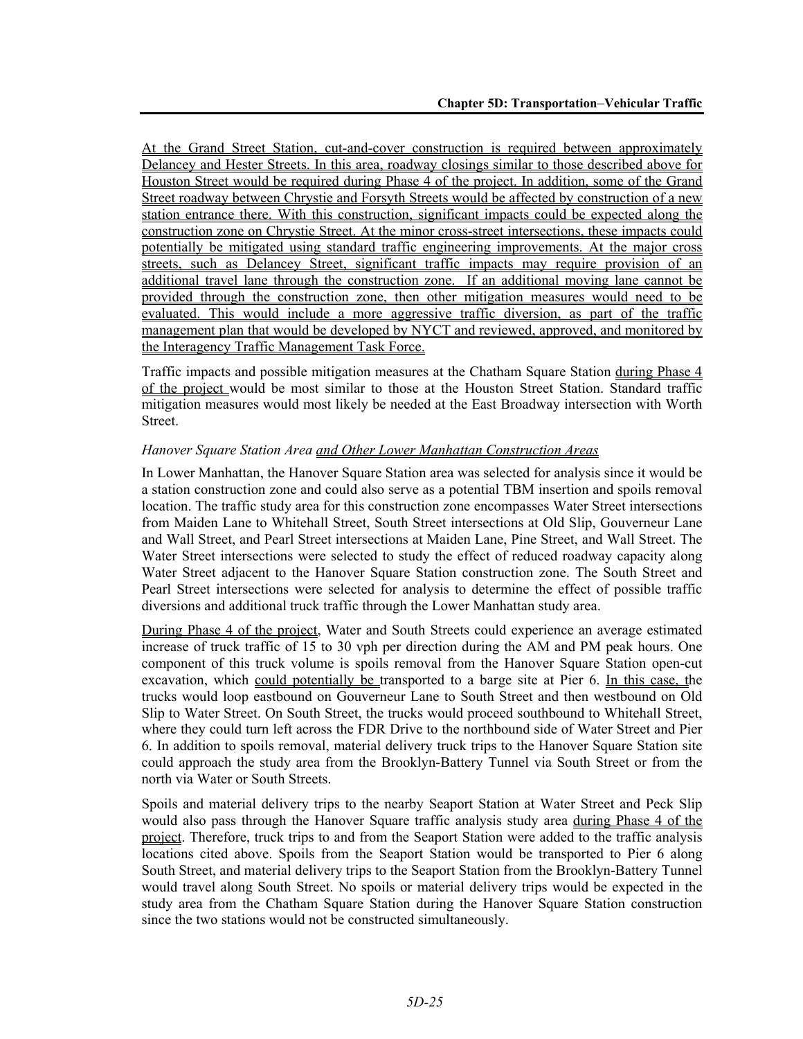At the Grand Street Station, cut-and-cover construction is required between approximately Delancey and Hester Streets. In this area, roadway closings similar to those described above for Houston Street would be required during Phase 4 of the project. In addition, some of the Grand Street roadway between Chrystie and Forsyth Streets would be affected by construction of a new station entrance there. With this construction, significant impacts could be expected along the construction zone on Chrystie Street. At the minor cross-street intersections, these impacts could potentially be mitigated using standard traffic engineering improvements. At the major cross streets, such as Delancey Street, significant traffic impacts may require provision of an additional travel lane through the construction zone. If an additional moving lane cannot be provided through the construction zone, then other mitigation measures would need to be evaluated. This would include a more aggressive traffic diversion, as part of the traffic management plan that would be developed by NYCT and reviewed, approved, and monitored by the Interagency Traffic Management Task Force.

Traffic impacts and possible mitigation measures at the Chatham Square Station during Phase 4 of the project would be most similar to those at the Houston Street Station. Standard traffic mitigation measures would most likely be needed at the East Broadway intersection with Worth Street.

#### *Hanover Square Station Area and Other Lower Manhattan Construction Areas*

In Lower Manhattan, the Hanover Square Station area was selected for analysis since it would be a station construction zone and could also serve as a potential TBM insertion and spoils removal location. The traffic study area for this construction zone encompasses Water Street intersections from Maiden Lane to Whitehall Street, South Street intersections at Old Slip, Gouverneur Lane and Wall Street, and Pearl Street intersections at Maiden Lane, Pine Street, and Wall Street. The Water Street intersections were selected to study the effect of reduced roadway capacity along Water Street adjacent to the Hanover Square Station construction zone. The South Street and Pearl Street intersections were selected for analysis to determine the effect of possible traffic diversions and additional truck traffic through the Lower Manhattan study area.

During Phase 4 of the project, Water and South Streets could experience an average estimated increase of truck traffic of 15 to 30 vph per direction during the AM and PM peak hours. One component of this truck volume is spoils removal from the Hanover Square Station open-cut excavation, which could potentially be transported to a barge site at Pier 6. In this case, the trucks would loop eastbound on Gouverneur Lane to South Street and then westbound on Old Slip to Water Street. On South Street, the trucks would proceed southbound to Whitehall Street, where they could turn left across the FDR Drive to the northbound side of Water Street and Pier 6. In addition to spoils removal, material delivery truck trips to the Hanover Square Station site could approach the study area from the Brooklyn-Battery Tunnel via South Street or from the north via Water or South Streets.

Spoils and material delivery trips to the nearby Seaport Station at Water Street and Peck Slip would also pass through the Hanover Square traffic analysis study area during Phase 4 of the project. Therefore, truck trips to and from the Seaport Station were added to the traffic analysis locations cited above. Spoils from the Seaport Station would be transported to Pier 6 along South Street, and material delivery trips to the Seaport Station from the Brooklyn-Battery Tunnel would travel along South Street. No spoils or material delivery trips would be expected in the study area from the Chatham Square Station during the Hanover Square Station construction since the two stations would not be constructed simultaneously.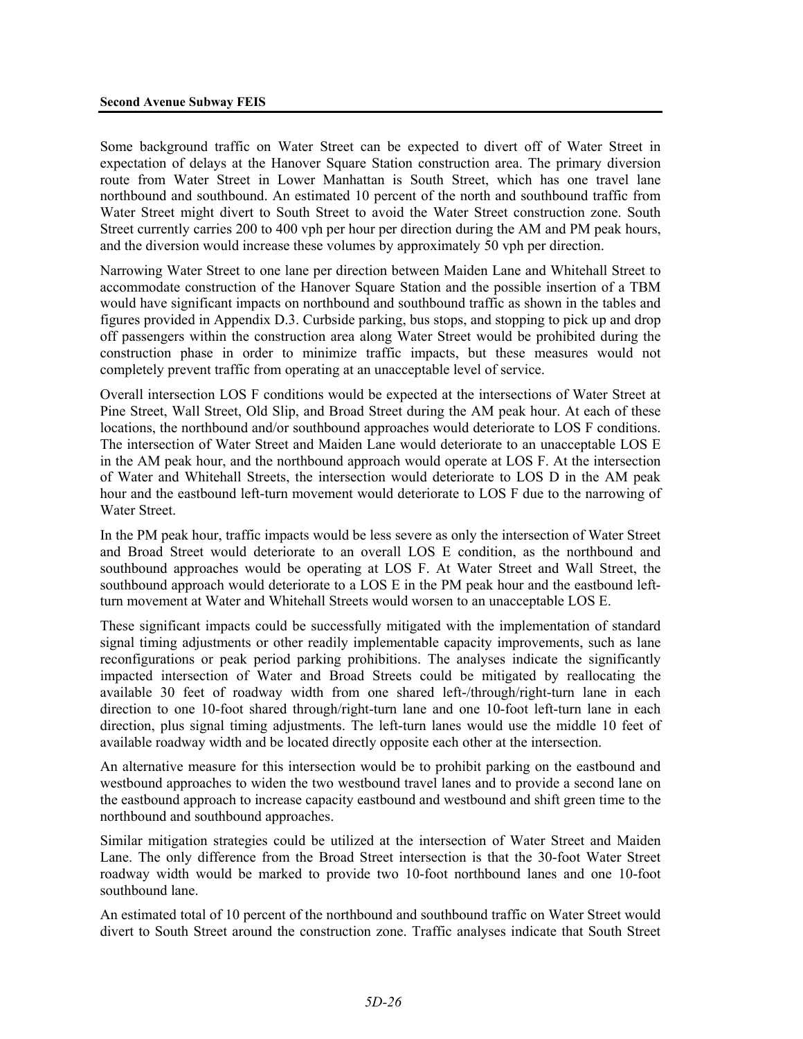Some background traffic on Water Street can be expected to divert off of Water Street in expectation of delays at the Hanover Square Station construction area. The primary diversion route from Water Street in Lower Manhattan is South Street, which has one travel lane northbound and southbound. An estimated 10 percent of the north and southbound traffic from Water Street might divert to South Street to avoid the Water Street construction zone. South Street currently carries 200 to 400 vph per hour per direction during the AM and PM peak hours, and the diversion would increase these volumes by approximately 50 vph per direction.

Narrowing Water Street to one lane per direction between Maiden Lane and Whitehall Street to accommodate construction of the Hanover Square Station and the possible insertion of a TBM would have significant impacts on northbound and southbound traffic as shown in the tables and figures provided in Appendix D.3. Curbside parking, bus stops, and stopping to pick up and drop off passengers within the construction area along Water Street would be prohibited during the construction phase in order to minimize traffic impacts, but these measures would not completely prevent traffic from operating at an unacceptable level of service.

Overall intersection LOS F conditions would be expected at the intersections of Water Street at Pine Street, Wall Street, Old Slip, and Broad Street during the AM peak hour. At each of these locations, the northbound and/or southbound approaches would deteriorate to LOS F conditions. The intersection of Water Street and Maiden Lane would deteriorate to an unacceptable LOS E in the AM peak hour, and the northbound approach would operate at LOS F. At the intersection of Water and Whitehall Streets, the intersection would deteriorate to LOS D in the AM peak hour and the eastbound left-turn movement would deteriorate to LOS F due to the narrowing of Water Street.

In the PM peak hour, traffic impacts would be less severe as only the intersection of Water Street and Broad Street would deteriorate to an overall LOS E condition, as the northbound and southbound approaches would be operating at LOS F. At Water Street and Wall Street, the southbound approach would deteriorate to a LOS E in the PM peak hour and the eastbound leftturn movement at Water and Whitehall Streets would worsen to an unacceptable LOS E.

These significant impacts could be successfully mitigated with the implementation of standard signal timing adjustments or other readily implementable capacity improvements, such as lane reconfigurations or peak period parking prohibitions. The analyses indicate the significantly impacted intersection of Water and Broad Streets could be mitigated by reallocating the available 30 feet of roadway width from one shared left-/through/right-turn lane in each direction to one 10-foot shared through/right-turn lane and one 10-foot left-turn lane in each direction, plus signal timing adjustments. The left-turn lanes would use the middle 10 feet of available roadway width and be located directly opposite each other at the intersection.

An alternative measure for this intersection would be to prohibit parking on the eastbound and westbound approaches to widen the two westbound travel lanes and to provide a second lane on the eastbound approach to increase capacity eastbound and westbound and shift green time to the northbound and southbound approaches.

Similar mitigation strategies could be utilized at the intersection of Water Street and Maiden Lane. The only difference from the Broad Street intersection is that the 30-foot Water Street roadway width would be marked to provide two 10-foot northbound lanes and one 10-foot southbound lane.

An estimated total of 10 percent of the northbound and southbound traffic on Water Street would divert to South Street around the construction zone. Traffic analyses indicate that South Street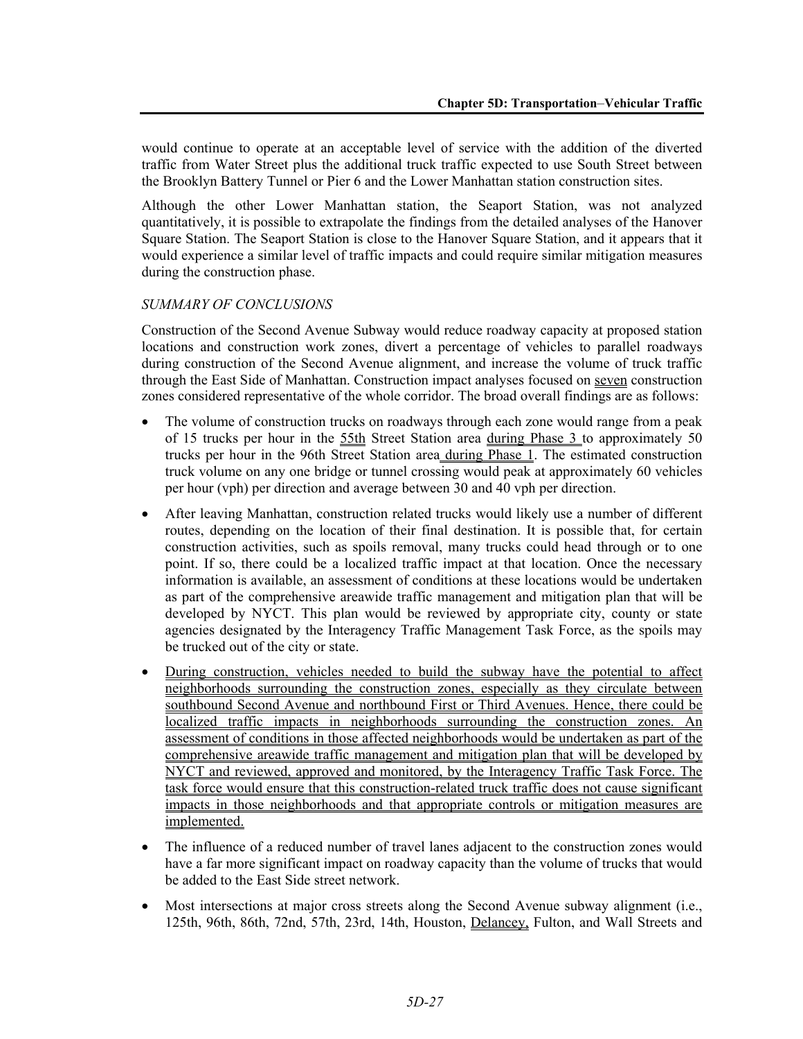would continue to operate at an acceptable level of service with the addition of the diverted traffic from Water Street plus the additional truck traffic expected to use South Street between the Brooklyn Battery Tunnel or Pier 6 and the Lower Manhattan station construction sites.

Although the other Lower Manhattan station, the Seaport Station, was not analyzed quantitatively, it is possible to extrapolate the findings from the detailed analyses of the Hanover Square Station. The Seaport Station is close to the Hanover Square Station, and it appears that it would experience a similar level of traffic impacts and could require similar mitigation measures during the construction phase.

#### *SUMMARY OF CONCLUSIONS*

Construction of the Second Avenue Subway would reduce roadway capacity at proposed station locations and construction work zones, divert a percentage of vehicles to parallel roadways during construction of the Second Avenue alignment, and increase the volume of truck traffic through the East Side of Manhattan. Construction impact analyses focused on seven construction zones considered representative of the whole corridor. The broad overall findings are as follows:

- The volume of construction trucks on roadways through each zone would range from a peak of 15 trucks per hour in the 55th Street Station area during Phase 3 to approximately 50 trucks per hour in the 96th Street Station area during Phase 1. The estimated construction truck volume on any one bridge or tunnel crossing would peak at approximately 60 vehicles per hour (vph) per direction and average between 30 and 40 vph per direction.
- After leaving Manhattan, construction related trucks would likely use a number of different routes, depending on the location of their final destination. It is possible that, for certain construction activities, such as spoils removal, many trucks could head through or to one point. If so, there could be a localized traffic impact at that location. Once the necessary information is available, an assessment of conditions at these locations would be undertaken as part of the comprehensive areawide traffic management and mitigation plan that will be developed by NYCT. This plan would be reviewed by appropriate city, county or state agencies designated by the Interagency Traffic Management Task Force, as the spoils may be trucked out of the city or state.
- During construction, vehicles needed to build the subway have the potential to affect neighborhoods surrounding the construction zones, especially as they circulate between southbound Second Avenue and northbound First or Third Avenues. Hence, there could be localized traffic impacts in neighborhoods surrounding the construction zones. An assessment of conditions in those affected neighborhoods would be undertaken as part of the comprehensive areawide traffic management and mitigation plan that will be developed by NYCT and reviewed, approved and monitored, by the Interagency Traffic Task Force. The task force would ensure that this construction-related truck traffic does not cause significant impacts in those neighborhoods and that appropriate controls or mitigation measures are implemented.
- The influence of a reduced number of travel lanes adjacent to the construction zones would have a far more significant impact on roadway capacity than the volume of trucks that would be added to the East Side street network.
- Most intersections at major cross streets along the Second Avenue subway alignment (i.e., 125th, 96th, 86th, 72nd, 57th, 23rd, 14th, Houston, Delancey, Fulton, and Wall Streets and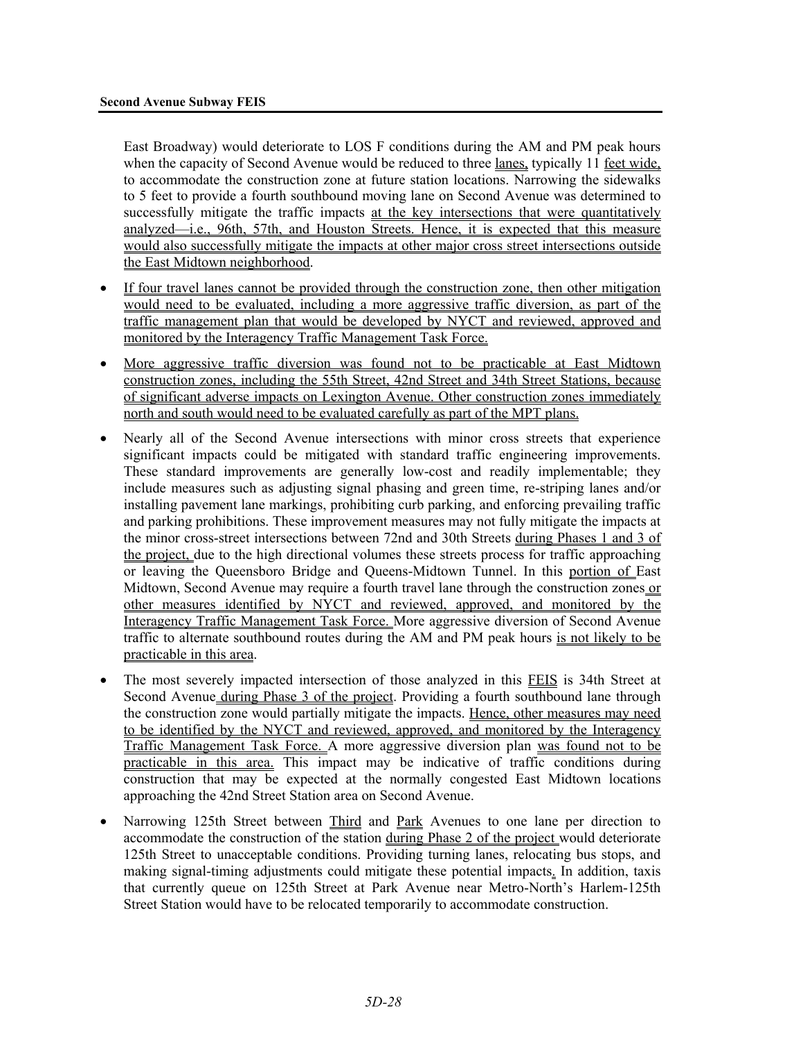East Broadway) would deteriorate to LOS F conditions during the AM and PM peak hours when the capacity of Second Avenue would be reduced to three lanes, typically 11 feet wide, to accommodate the construction zone at future station locations. Narrowing the sidewalks to 5 feet to provide a fourth southbound moving lane on Second Avenue was determined to successfully mitigate the traffic impacts at the key intersections that were quantitatively analyzed—i.e., 96th, 57th, and Houston Streets. Hence, it is expected that this measure would also successfully mitigate the impacts at other major cross street intersections outside the East Midtown neighborhood.

- If four travel lanes cannot be provided through the construction zone, then other mitigation would need to be evaluated, including a more aggressive traffic diversion, as part of the traffic management plan that would be developed by NYCT and reviewed, approved and monitored by the Interagency Traffic Management Task Force.
- More aggressive traffic diversion was found not to be practicable at East Midtown construction zones, including the 55th Street, 42nd Street and 34th Street Stations, because of significant adverse impacts on Lexington Avenue. Other construction zones immediately north and south would need to be evaluated carefully as part of the MPT plans.
- Nearly all of the Second Avenue intersections with minor cross streets that experience significant impacts could be mitigated with standard traffic engineering improvements. These standard improvements are generally low-cost and readily implementable; they include measures such as adjusting signal phasing and green time, re-striping lanes and/or installing pavement lane markings, prohibiting curb parking, and enforcing prevailing traffic and parking prohibitions. These improvement measures may not fully mitigate the impacts at the minor cross-street intersections between 72nd and 30th Streets during Phases 1 and 3 of the project, due to the high directional volumes these streets process for traffic approaching or leaving the Queensboro Bridge and Queens-Midtown Tunnel. In this portion of East Midtown, Second Avenue may require a fourth travel lane through the construction zones or other measures identified by NYCT and reviewed, approved, and monitored by the Interagency Traffic Management Task Force. More aggressive diversion of Second Avenue traffic to alternate southbound routes during the AM and PM peak hours is not likely to be practicable in this area.
- The most severely impacted intersection of those analyzed in this FEIS is 34th Street at Second Avenue during Phase 3 of the project. Providing a fourth southbound lane through the construction zone would partially mitigate the impacts. Hence, other measures may need to be identified by the NYCT and reviewed, approved, and monitored by the Interagency Traffic Management Task Force. A more aggressive diversion plan was found not to be practicable in this area. This impact may be indicative of traffic conditions during construction that may be expected at the normally congested East Midtown locations approaching the 42nd Street Station area on Second Avenue.
- Narrowing 125th Street between Third and Park Avenues to one lane per direction to accommodate the construction of the station during Phase 2 of the project would deteriorate 125th Street to unacceptable conditions. Providing turning lanes, relocating bus stops, and making signal-timing adjustments could mitigate these potential impacts. In addition, taxis that currently queue on 125th Street at Park Avenue near Metro-North's Harlem-125th Street Station would have to be relocated temporarily to accommodate construction.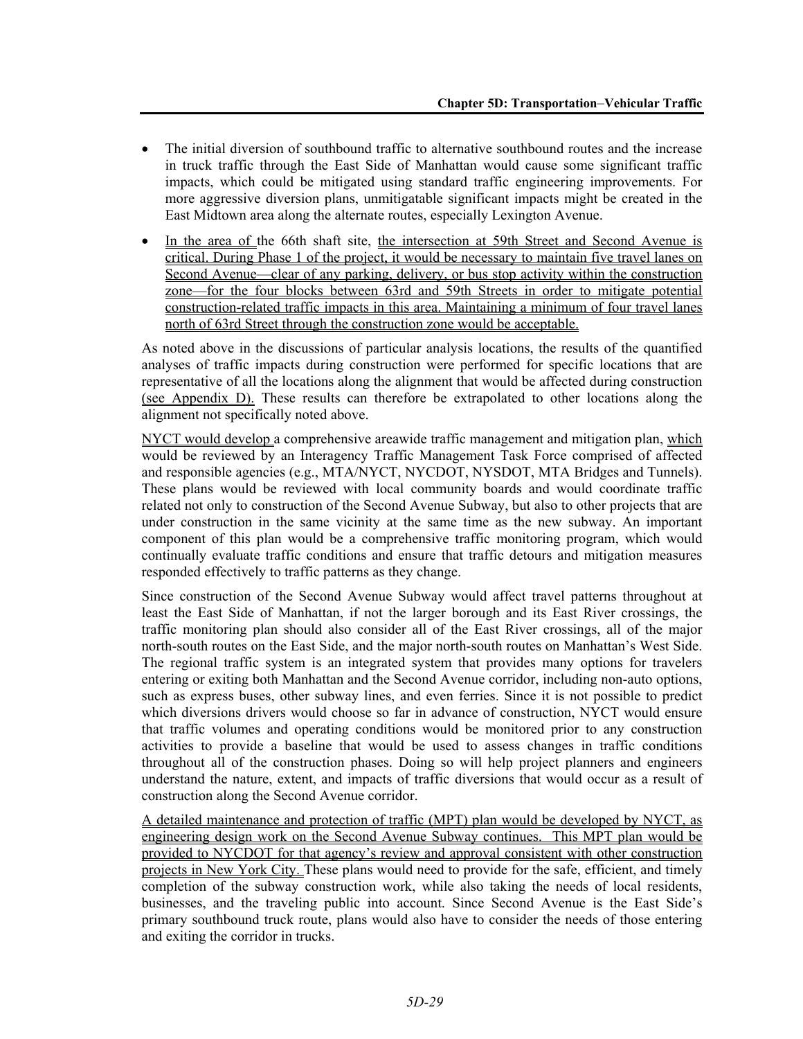- The initial diversion of southbound traffic to alternative southbound routes and the increase in truck traffic through the East Side of Manhattan would cause some significant traffic impacts, which could be mitigated using standard traffic engineering improvements. For more aggressive diversion plans, unmitigatable significant impacts might be created in the East Midtown area along the alternate routes, especially Lexington Avenue.
- In the area of the 66th shaft site, the intersection at 59th Street and Second Avenue is critical. During Phase 1 of the project, it would be necessary to maintain five travel lanes on Second Avenue—clear of any parking, delivery, or bus stop activity within the construction zone—for the four blocks between 63rd and 59th Streets in order to mitigate potential construction-related traffic impacts in this area. Maintaining a minimum of four travel lanes north of 63rd Street through the construction zone would be acceptable.

As noted above in the discussions of particular analysis locations, the results of the quantified analyses of traffic impacts during construction were performed for specific locations that are representative of all the locations along the alignment that would be affected during construction (see Appendix D). These results can therefore be extrapolated to other locations along the alignment not specifically noted above.

NYCT would develop a comprehensive areawide traffic management and mitigation plan, which would be reviewed by an Interagency Traffic Management Task Force comprised of affected and responsible agencies (e.g., MTA/NYCT, NYCDOT, NYSDOT, MTA Bridges and Tunnels). These plans would be reviewed with local community boards and would coordinate traffic related not only to construction of the Second Avenue Subway, but also to other projects that are under construction in the same vicinity at the same time as the new subway. An important component of this plan would be a comprehensive traffic monitoring program, which would continually evaluate traffic conditions and ensure that traffic detours and mitigation measures responded effectively to traffic patterns as they change.

Since construction of the Second Avenue Subway would affect travel patterns throughout at least the East Side of Manhattan, if not the larger borough and its East River crossings, the traffic monitoring plan should also consider all of the East River crossings, all of the major north-south routes on the East Side, and the major north-south routes on Manhattan's West Side. The regional traffic system is an integrated system that provides many options for travelers entering or exiting both Manhattan and the Second Avenue corridor, including non-auto options, such as express buses, other subway lines, and even ferries. Since it is not possible to predict which diversions drivers would choose so far in advance of construction, NYCT would ensure that traffic volumes and operating conditions would be monitored prior to any construction activities to provide a baseline that would be used to assess changes in traffic conditions throughout all of the construction phases. Doing so will help project planners and engineers understand the nature, extent, and impacts of traffic diversions that would occur as a result of construction along the Second Avenue corridor.

A detailed maintenance and protection of traffic (MPT) plan would be developed by NYCT, as engineering design work on the Second Avenue Subway continues. This MPT plan would be provided to NYCDOT for that agency's review and approval consistent with other construction projects in New York City. These plans would need to provide for the safe, efficient, and timely completion of the subway construction work, while also taking the needs of local residents, businesses, and the traveling public into account. Since Second Avenue is the East Side's primary southbound truck route, plans would also have to consider the needs of those entering and exiting the corridor in trucks.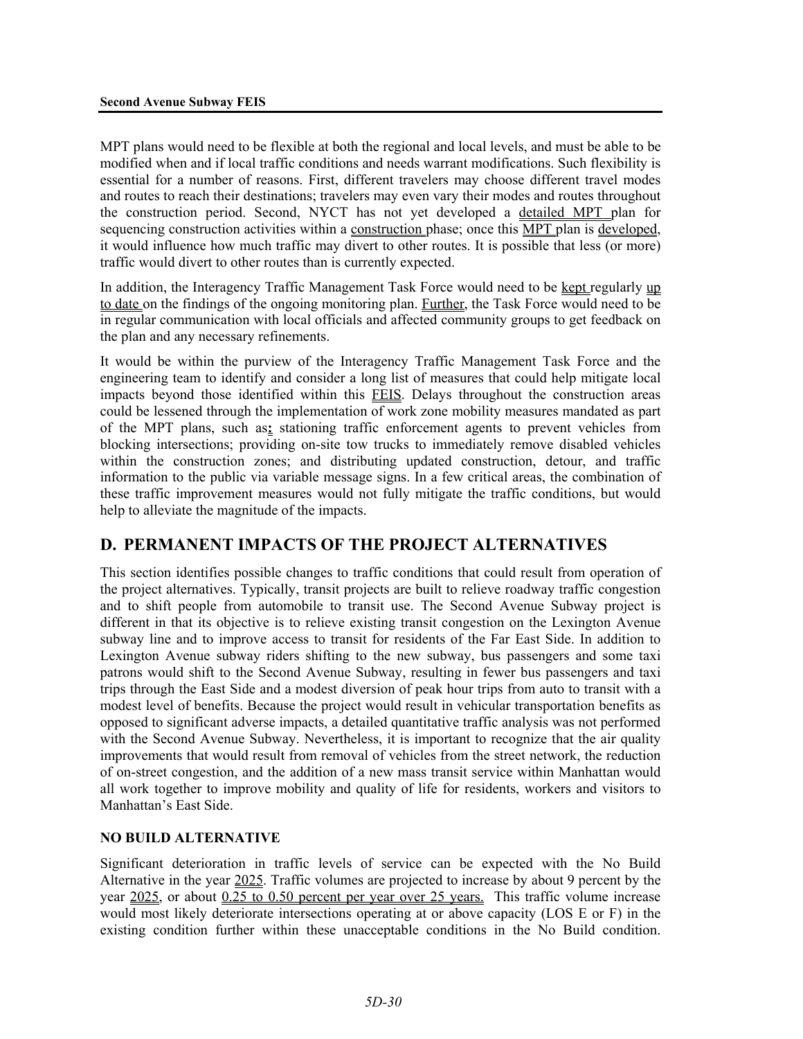MPT plans would need to be flexible at both the regional and local levels, and must be able to be modified when and if local traffic conditions and needs warrant modifications. Such flexibility is essential for a number of reasons. First, different travelers may choose different travel modes and routes to reach their destinations; travelers may even vary their modes and routes throughout the construction period. Second, NYCT has not yet developed a detailed MPT plan for sequencing construction activities within a construction phase; once this MPT plan is developed, it would influence how much traffic may divert to other routes. It is possible that less (or more) traffic would divert to other routes than is currently expected.

In addition, the Interagency Traffic Management Task Force would need to be kept regularly up to date on the findings of the ongoing monitoring plan. Further, the Task Force would need to be in regular communication with local officials and affected community groups to get feedback on the plan and any necessary refinements.

It would be within the purview of the Interagency Traffic Management Task Force and the engineering team to identify and consider a long list of measures that could help mitigate local impacts beyond those identified within this FEIS. Delays throughout the construction areas could be lessened through the implementation of work zone mobility measures mandated as part of the MPT plans, such as**:** stationing traffic enforcement agents to prevent vehicles from blocking intersections; providing on-site tow trucks to immediately remove disabled vehicles within the construction zones; and distributing updated construction, detour, and traffic information to the public via variable message signs. In a few critical areas, the combination of these traffic improvement measures would not fully mitigate the traffic conditions, but would help to alleviate the magnitude of the impacts.

# **D. PERMANENT IMPACTS OF THE PROJECT ALTERNATIVES**

This section identifies possible changes to traffic conditions that could result from operation of the project alternatives. Typically, transit projects are built to relieve roadway traffic congestion and to shift people from automobile to transit use. The Second Avenue Subway project is different in that its objective is to relieve existing transit congestion on the Lexington Avenue subway line and to improve access to transit for residents of the Far East Side. In addition to Lexington Avenue subway riders shifting to the new subway, bus passengers and some taxi patrons would shift to the Second Avenue Subway, resulting in fewer bus passengers and taxi trips through the East Side and a modest diversion of peak hour trips from auto to transit with a modest level of benefits. Because the project would result in vehicular transportation benefits as opposed to significant adverse impacts, a detailed quantitative traffic analysis was not performed with the Second Avenue Subway. Nevertheless, it is important to recognize that the air quality improvements that would result from removal of vehicles from the street network, the reduction of on-street congestion, and the addition of a new mass transit service within Manhattan would all work together to improve mobility and quality of life for residents, workers and visitors to Manhattan's East Side.

# **NO BUILD ALTERNATIVE**

Significant deterioration in traffic levels of service can be expected with the No Build Alternative in the year 2025. Traffic volumes are projected to increase by about 9 percent by the year 2025, or about 0.25 to 0.50 percent per year over 25 years. This traffic volume increase would most likely deteriorate intersections operating at or above capacity (LOS E or F) in the existing condition further within these unacceptable conditions in the No Build condition.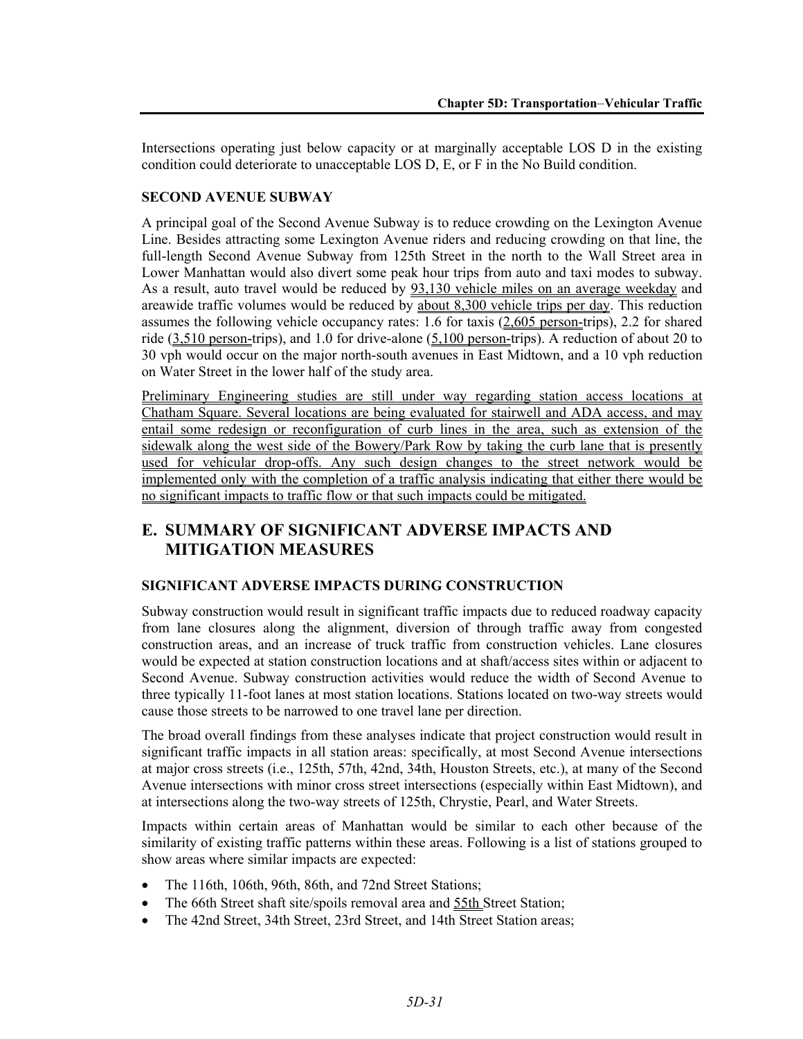Intersections operating just below capacity or at marginally acceptable LOS D in the existing condition could deteriorate to unacceptable LOS D, E, or F in the No Build condition.

### **SECOND AVENUE SUBWAY**

A principal goal of the Second Avenue Subway is to reduce crowding on the Lexington Avenue Line. Besides attracting some Lexington Avenue riders and reducing crowding on that line, the full-length Second Avenue Subway from 125th Street in the north to the Wall Street area in Lower Manhattan would also divert some peak hour trips from auto and taxi modes to subway. As a result, auto travel would be reduced by 93,130 vehicle miles on an average weekday and areawide traffic volumes would be reduced by about 8,300 vehicle trips per day. This reduction assumes the following vehicle occupancy rates: 1.6 for taxis  $(2,605$  person-trips), 2.2 for shared ride  $(3,510 \text{ person-trips})$ , and 1.0 for drive-alone  $(5,100 \text{ person-trips})$ . A reduction of about 20 to 30 vph would occur on the major north-south avenues in East Midtown, and a 10 vph reduction on Water Street in the lower half of the study area.

Preliminary Engineering studies are still under way regarding station access locations at Chatham Square. Several locations are being evaluated for stairwell and ADA access, and may entail some redesign or reconfiguration of curb lines in the area, such as extension of the sidewalk along the west side of the Bowery/Park Row by taking the curb lane that is presently used for vehicular drop-offs. Any such design changes to the street network would be implemented only with the completion of a traffic analysis indicating that either there would be no significant impacts to traffic flow or that such impacts could be mitigated.

# **E. SUMMARY OF SIGNIFICANT ADVERSE IMPACTS AND MITIGATION MEASURES**

#### **SIGNIFICANT ADVERSE IMPACTS DURING CONSTRUCTION**

Subway construction would result in significant traffic impacts due to reduced roadway capacity from lane closures along the alignment, diversion of through traffic away from congested construction areas, and an increase of truck traffic from construction vehicles. Lane closures would be expected at station construction locations and at shaft/access sites within or adjacent to Second Avenue. Subway construction activities would reduce the width of Second Avenue to three typically 11-foot lanes at most station locations. Stations located on two-way streets would cause those streets to be narrowed to one travel lane per direction.

The broad overall findings from these analyses indicate that project construction would result in significant traffic impacts in all station areas: specifically, at most Second Avenue intersections at major cross streets (i.e., 125th, 57th, 42nd, 34th, Houston Streets, etc.), at many of the Second Avenue intersections with minor cross street intersections (especially within East Midtown), and at intersections along the two-way streets of 125th, Chrystie, Pearl, and Water Streets.

Impacts within certain areas of Manhattan would be similar to each other because of the similarity of existing traffic patterns within these areas. Following is a list of stations grouped to show areas where similar impacts are expected:

- The 116th, 106th, 96th, 86th, and 72nd Street Stations;
- The 66th Street shaft site/spoils removal area and 55th Street Station;
- The 42nd Street, 34th Street, 23rd Street, and 14th Street Station areas;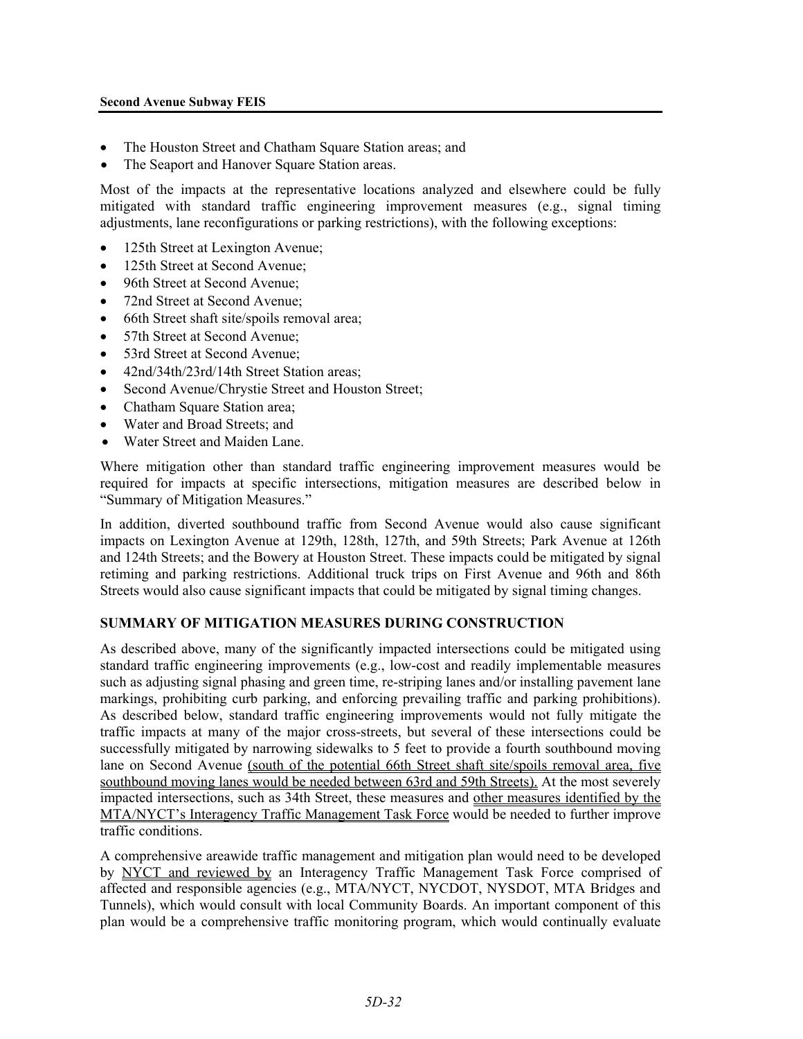#### **Second Avenue Subway FEIS**

- The Houston Street and Chatham Square Station areas; and
- The Seaport and Hanover Square Station areas.

Most of the impacts at the representative locations analyzed and elsewhere could be fully mitigated with standard traffic engineering improvement measures (e.g., signal timing adjustments, lane reconfigurations or parking restrictions), with the following exceptions:

- 125th Street at Lexington Avenue;
- 125th Street at Second Avenue;
- 96th Street at Second Avenue:
- 72nd Street at Second Avenue;
- 66th Street shaft site/spoils removal area;
- 57th Street at Second Avenue;
- 53rd Street at Second Avenue:
- 42nd/34th/23rd/14th Street Station areas:
- Second Avenue/Chrystie Street and Houston Street;
- Chatham Square Station area;
- Water and Broad Streets; and
- Water Street and Maiden Lane.

Where mitigation other than standard traffic engineering improvement measures would be required for impacts at specific intersections, mitigation measures are described below in "Summary of Mitigation Measures."

In addition, diverted southbound traffic from Second Avenue would also cause significant impacts on Lexington Avenue at 129th, 128th, 127th, and 59th Streets; Park Avenue at 126th and 124th Streets; and the Bowery at Houston Street. These impacts could be mitigated by signal retiming and parking restrictions. Additional truck trips on First Avenue and 96th and 86th Streets would also cause significant impacts that could be mitigated by signal timing changes.

#### **SUMMARY OF MITIGATION MEASURES DURING CONSTRUCTION**

As described above, many of the significantly impacted intersections could be mitigated using standard traffic engineering improvements (e.g., low-cost and readily implementable measures such as adjusting signal phasing and green time, re-striping lanes and/or installing pavement lane markings, prohibiting curb parking, and enforcing prevailing traffic and parking prohibitions). As described below, standard traffic engineering improvements would not fully mitigate the traffic impacts at many of the major cross-streets, but several of these intersections could be successfully mitigated by narrowing sidewalks to 5 feet to provide a fourth southbound moving lane on Second Avenue (south of the potential 66th Street shaft site/spoils removal area, five southbound moving lanes would be needed between 63rd and 59th Streets). At the most severely impacted intersections, such as 34th Street, these measures and other measures identified by the MTA/NYCT's Interagency Traffic Management Task Force would be needed to further improve traffic conditions.

A comprehensive areawide traffic management and mitigation plan would need to be developed by NYCT and reviewed by an Interagency Traffic Management Task Force comprised of affected and responsible agencies (e.g., MTA/NYCT, NYCDOT, NYSDOT, MTA Bridges and Tunnels), which would consult with local Community Boards. An important component of this plan would be a comprehensive traffic monitoring program, which would continually evaluate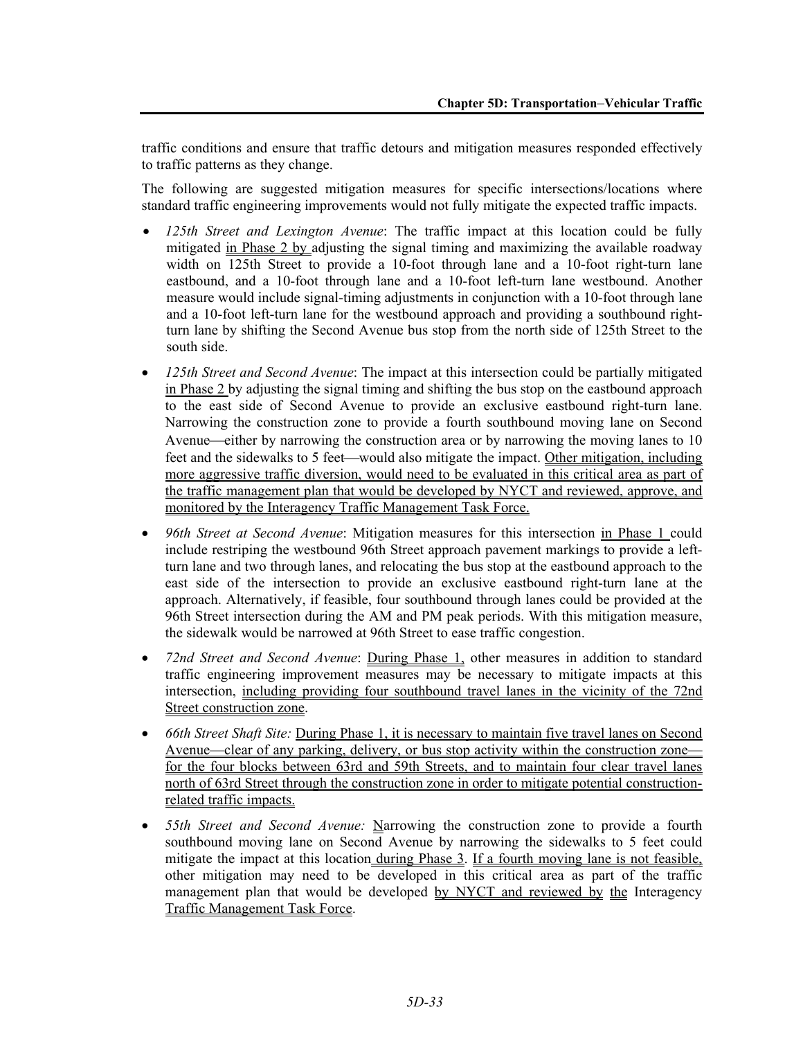traffic conditions and ensure that traffic detours and mitigation measures responded effectively to traffic patterns as they change.

The following are suggested mitigation measures for specific intersections/locations where standard traffic engineering improvements would not fully mitigate the expected traffic impacts.

- *125th Street and Lexington Avenue*: The traffic impact at this location could be fully mitigated in Phase 2 by adjusting the signal timing and maximizing the available roadway width on 125th Street to provide a 10-foot through lane and a 10-foot right-turn lane eastbound, and a 10-foot through lane and a 10-foot left-turn lane westbound. Another measure would include signal-timing adjustments in conjunction with a 10-foot through lane and a 10-foot left-turn lane for the westbound approach and providing a southbound rightturn lane by shifting the Second Avenue bus stop from the north side of 125th Street to the south side.
- *125th Street and Second Avenue*: The impact at this intersection could be partially mitigated in Phase 2 by adjusting the signal timing and shifting the bus stop on the eastbound approach to the east side of Second Avenue to provide an exclusive eastbound right-turn lane. Narrowing the construction zone to provide a fourth southbound moving lane on Second Avenue—either by narrowing the construction area or by narrowing the moving lanes to  $10$ feet and the sidewalks to 5 feet—would also mitigate the impact. Other mitigation, including more aggressive traffic diversion, would need to be evaluated in this critical area as part of the traffic management plan that would be developed by NYCT and reviewed, approve, and monitored by the Interagency Traffic Management Task Force.
- *96th Street at Second Avenue*: Mitigation measures for this intersection in Phase 1 could include restriping the westbound 96th Street approach pavement markings to provide a leftturn lane and two through lanes, and relocating the bus stop at the eastbound approach to the east side of the intersection to provide an exclusive eastbound right-turn lane at the approach. Alternatively, if feasible, four southbound through lanes could be provided at the 96th Street intersection during the AM and PM peak periods. With this mitigation measure, the sidewalk would be narrowed at 96th Street to ease traffic congestion.
- *72nd Street and Second Avenue*: During Phase 1, other measures in addition to standard traffic engineering improvement measures may be necessary to mitigate impacts at this intersection, including providing four southbound travel lanes in the vicinity of the 72nd Street construction zone.
- *66th Street Shaft Site:* During Phase 1, it is necessary to maintain five travel lanes on Second Avenue—clear of any parking, delivery, or bus stop activity within the construction zone for the four blocks between 63rd and 59th Streets, and to maintain four clear travel lanes north of 63rd Street through the construction zone in order to mitigate potential constructionrelated traffic impacts.
- *55th Street and Second Avenue:* Narrowing the construction zone to provide a fourth southbound moving lane on Second Avenue by narrowing the sidewalks to 5 feet could mitigate the impact at this location during Phase 3. If a fourth moving lane is not feasible, other mitigation may need to be developed in this critical area as part of the traffic management plan that would be developed by NYCT and reviewed by the Interagency Traffic Management Task Force.